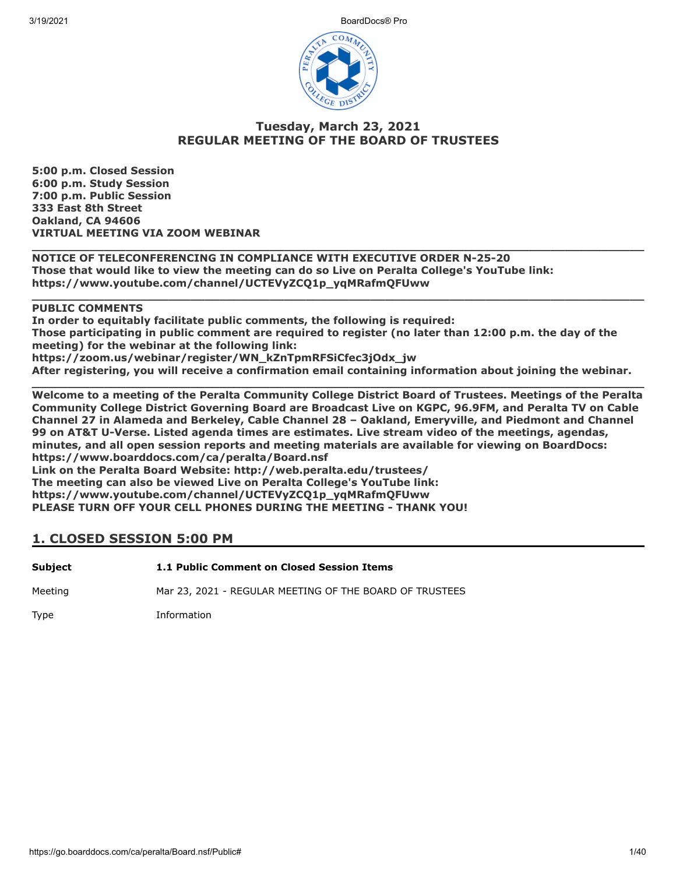3/19/2021 BoardDocs® Pro



## **Tuesday, March 23, 2021 REGULAR MEETING OF THE BOARD OF TRUSTEES**

**5:00 p.m. Closed Session 6:00 p.m. Study Session 7:00 p.m. Public Session 333 East 8th Street Oakland, CA 94606 VIRTUAL MEETING VIA ZOOM WEBINAR**

**\_\_\_\_\_\_\_\_\_\_\_\_\_\_\_\_\_\_\_\_\_\_\_\_\_\_\_\_\_\_\_\_\_\_\_\_\_\_\_\_\_\_\_\_\_\_\_\_\_\_\_\_\_\_\_\_\_\_\_\_\_\_\_\_\_\_\_\_\_\_\_\_\_\_\_\_\_\_\_\_\_\_\_\_\_ NOTICE OF TELECONFERENCING IN COMPLIANCE WITH EXECUTIVE ORDER N-25-20 Those that would like to view the meeting can do so Live on Peralta College's YouTube link: https://www.youtube.com/channel/UCTEVyZCQ1p\_yqMRafmQFUww**

## **PUBLIC COMMENTS**

**In order to equitably facilitate public comments, the following is required: Those participating in public comment are required to register (no later than 12:00 p.m. the day of the meeting) for the webinar at the following link: https://zoom.us/webinar/register/WN\_kZnTpmRFSiCfec3jOdx\_jw After registering, you will receive a confirmation email containing information about joining the webinar.**

**\_\_\_\_\_\_\_\_\_\_\_\_\_\_\_\_\_\_\_\_\_\_\_\_\_\_\_\_\_\_\_\_\_\_\_\_\_\_\_\_\_\_\_\_\_\_\_\_\_\_\_\_\_\_\_\_\_\_\_\_\_\_\_\_\_\_\_\_\_\_\_\_\_\_\_\_\_\_\_\_\_\_\_\_\_**

**\_\_\_\_\_\_\_\_\_\_\_\_\_\_\_\_\_\_\_\_\_\_\_\_\_\_\_\_\_\_\_\_\_\_\_\_\_\_\_\_\_\_\_\_\_\_\_\_\_\_\_\_\_\_\_\_\_\_\_\_\_\_\_\_\_\_\_\_\_\_\_\_\_\_\_\_\_\_\_\_\_\_\_\_\_ Welcome to a meeting of the Peralta Community College District Board of Trustees. Meetings of the Peralta Community College District Governing Board are Broadcast Live on KGPC, 96.9FM, and Peralta TV on Cable Channel 27 in Alameda and Berkeley, Cable Channel 28 – Oakland, Emeryville, and Piedmont and Channel 99 on AT&T U-Verse. Listed agenda times are estimates. Live stream video of the meetings, agendas, minutes, and all open session reports and meeting materials are available for viewing on BoardDocs: https://www.boarddocs.com/ca/peralta/Board.nsf Link on the Peralta Board Website: http://web.peralta.edu/trustees/ The meeting can also be viewed Live on Peralta College's YouTube link: https://www.youtube.com/channel/UCTEVyZCQ1p\_yqMRafmQFUww PLEASE TURN OFF YOUR CELL PHONES DURING THE MEETING - THANK YOU!**

## **1. CLOSED SESSION 5:00 PM**

| Subject | 1.1 Public Comment on Closed Session Items |
|---------|--------------------------------------------|
|         |                                            |

Meeting Mar 23, 2021 - REGULAR MEETING OF THE BOARD OF TRUSTEES

Type Information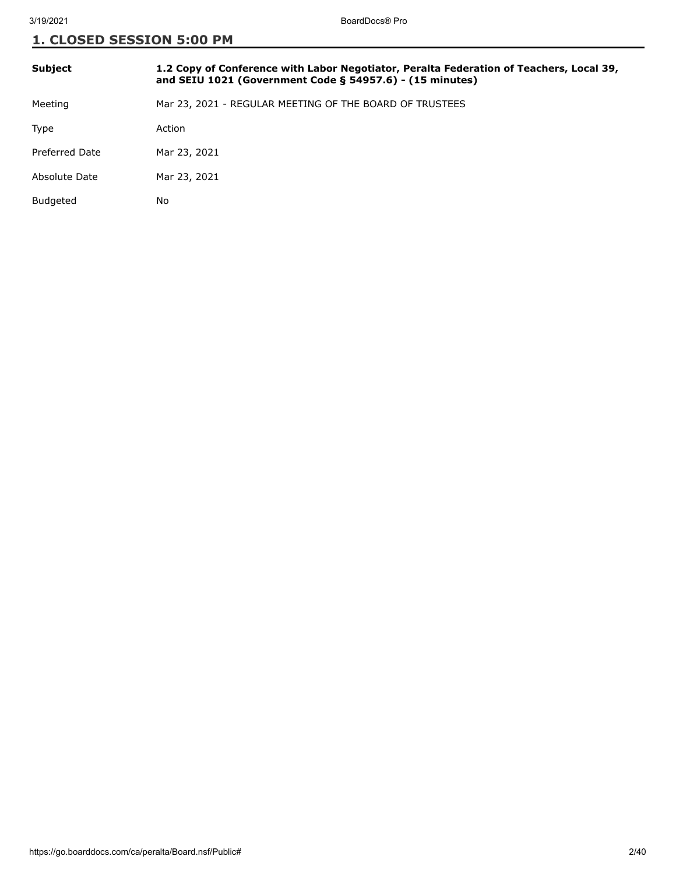| <b>Subject</b> | 1.2 Copy of Conference with Labor Negotiator, Peralta Federation of Teachers, Local 39,<br>and SEIU 1021 (Government Code $\S$ 54957.6) - (15 minutes) |
|----------------|--------------------------------------------------------------------------------------------------------------------------------------------------------|
| Meeting        | Mar 23, 2021 - REGULAR MEETING OF THE BOARD OF TRUSTEES                                                                                                |
| Type           | Action                                                                                                                                                 |
| Preferred Date | Mar 23, 2021                                                                                                                                           |
| Absolute Date  | Mar 23, 2021                                                                                                                                           |
| Budgeted       | No                                                                                                                                                     |
|                |                                                                                                                                                        |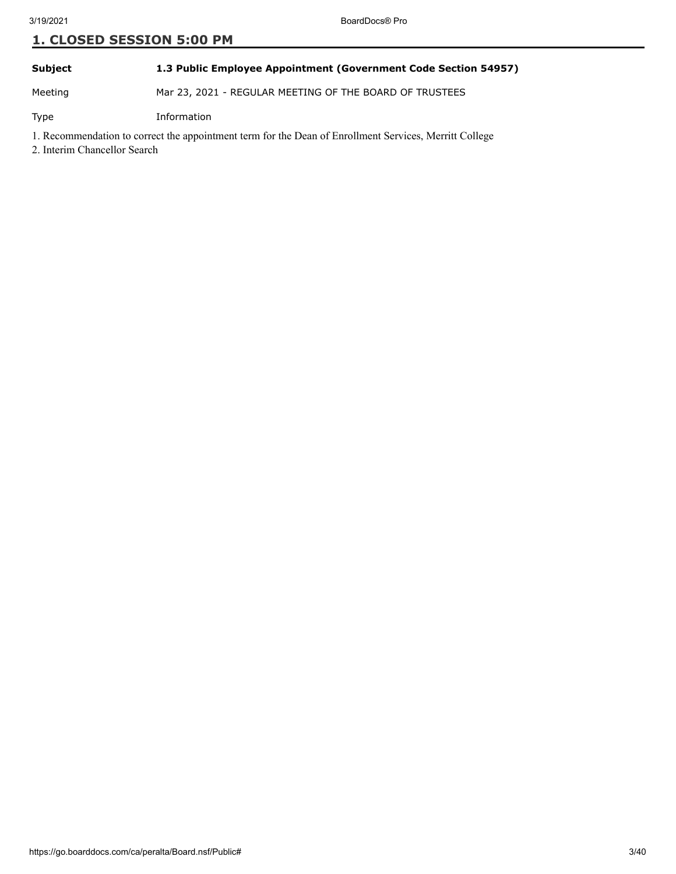**Subject 1.3 Public Employee Appointment (Government Code Section 54957)**

Meeting Mar 23, 2021 - REGULAR MEETING OF THE BOARD OF TRUSTEES

Type Information

1. Recommendation to correct the appointment term for the Dean of Enrollment Services, Merritt College

2. Interim Chancellor Search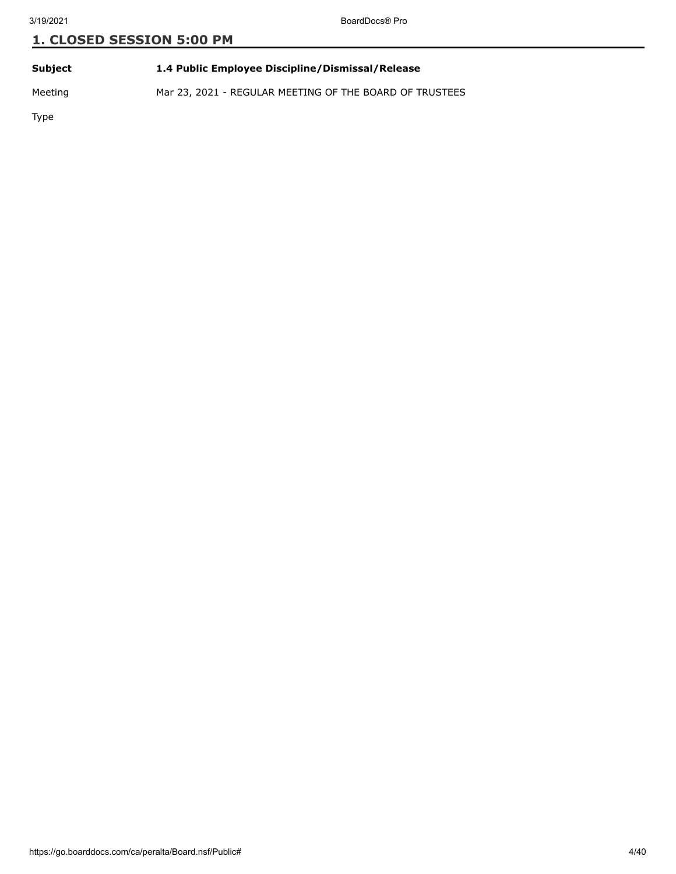**Subject 1.4 Public Employee Discipline/Dismissal/Release**

Meeting Mar 23, 2021 - REGULAR MEETING OF THE BOARD OF TRUSTEES

Type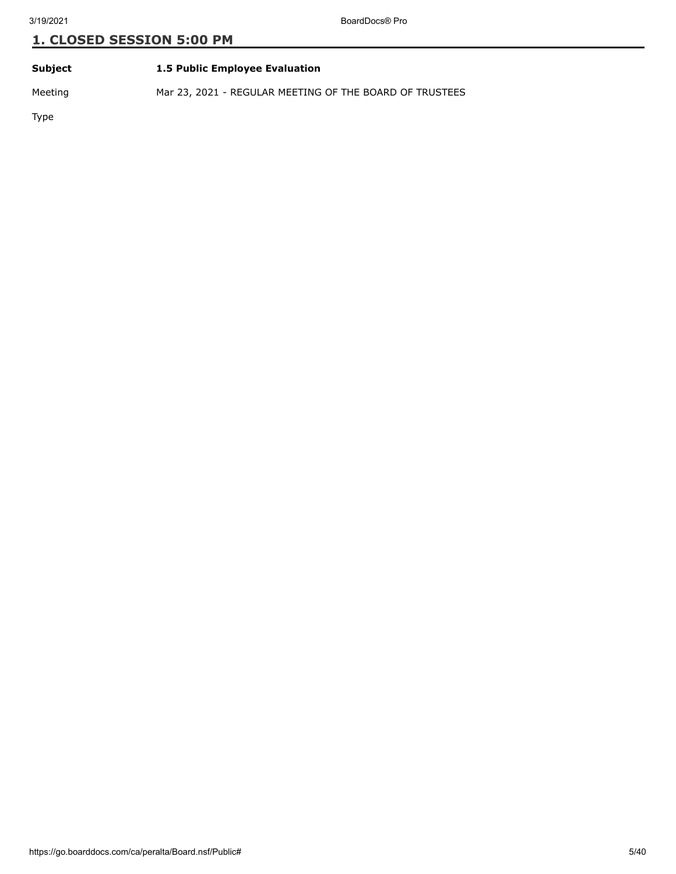### **Subject 1.5 Public Employee Evaluation**

Meeting Mar 23, 2021 - REGULAR MEETING OF THE BOARD OF TRUSTEES

Type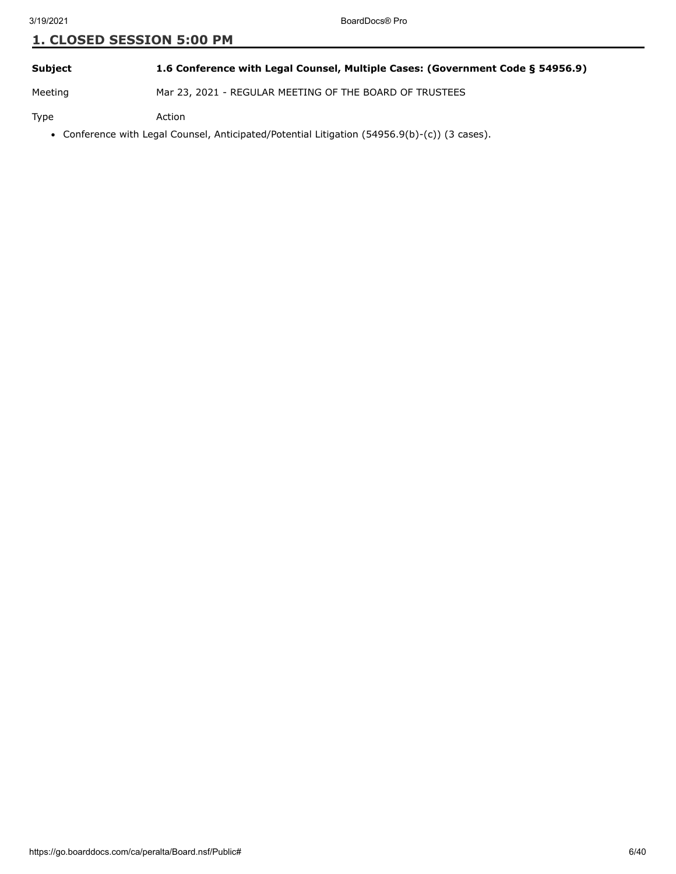**Subject 1.6 Conference with Legal Counsel, Multiple Cases: (Government Code § 54956.9)**

Meeting Mar 23, 2021 - REGULAR MEETING OF THE BOARD OF TRUSTEES

Type Action

Conference with Legal Counsel, Anticipated/Potential Litigation (54956.9(b)-(c)) (3 cases).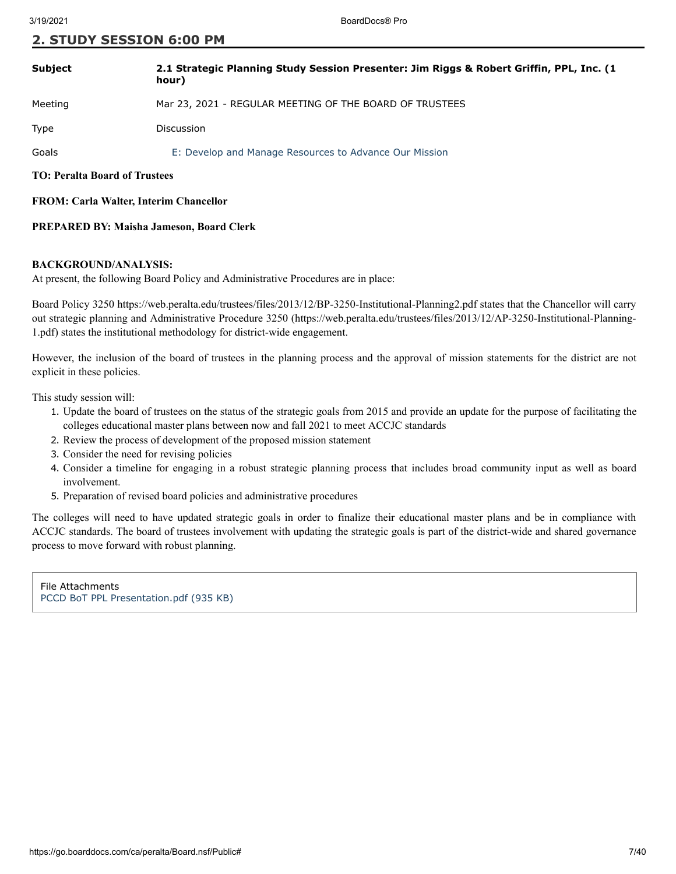### **2. STUDY SESSION 6:00 PM**

| <b>Subject</b> | 2.1 Strategic Planning Study Session Presenter: Jim Riggs & Robert Griffin, PPL, Inc. (1)<br>hour) |
|----------------|----------------------------------------------------------------------------------------------------|
| Meeting        | Mar 23, 2021 - REGULAR MEETING OF THE BOARD OF TRUSTEES                                            |
| Type           | <b>Discussion</b>                                                                                  |
| Goals          | E: Develop and Manage Resources to Advance Our Mission                                             |

**TO: Peralta Board of Trustees**

#### **FROM: Carla Walter, Interim Chancellor**

#### **PREPARED BY: Maisha Jameson, Board Clerk**

#### **BACKGROUND/ANALYSIS:**

At present, the following Board Policy and Administrative Procedures are in place:

Board Policy 3250 https://web.peralta.edu/trustees/files/2013/12/BP-3250-Institutional-Planning2.pdf states that the Chancellor will carry out strategic planning and Administrative Procedure 3250 (https://web.peralta.edu/trustees/files/2013/12/AP-3250-Institutional-Planning-1.pdf) states the institutional methodology for district-wide engagement.

However, the inclusion of the board of trustees in the planning process and the approval of mission statements for the district are not explicit in these policies.

This study session will:

- 1. Update the board of trustees on the status of the strategic goals from 2015 and provide an update for the purpose of facilitating the colleges educational master plans between now and fall 2021 to meet ACCJC standards
- 2. Review the process of development of the proposed mission statement
- 3. Consider the need for revising policies
- 4. Consider a timeline for engaging in a robust strategic planning process that includes broad community input as well as board involvement.
- 5. Preparation of revised board policies and administrative procedures

The colleges will need to have updated strategic goals in order to finalize their educational master plans and be in compliance with ACCJC standards. The board of trustees involvement with updating the strategic goals is part of the district-wide and shared governance process to move forward with robust planning.

File Attachments [PCCD BoT PPL Presentation.pdf \(935 KB\)](https://go.boarddocs.com/ca/peralta/Board.nsf/files/BZ8QQF6858F8/$file/PCCD%20BoT%20PPL%20Presentation.pdf)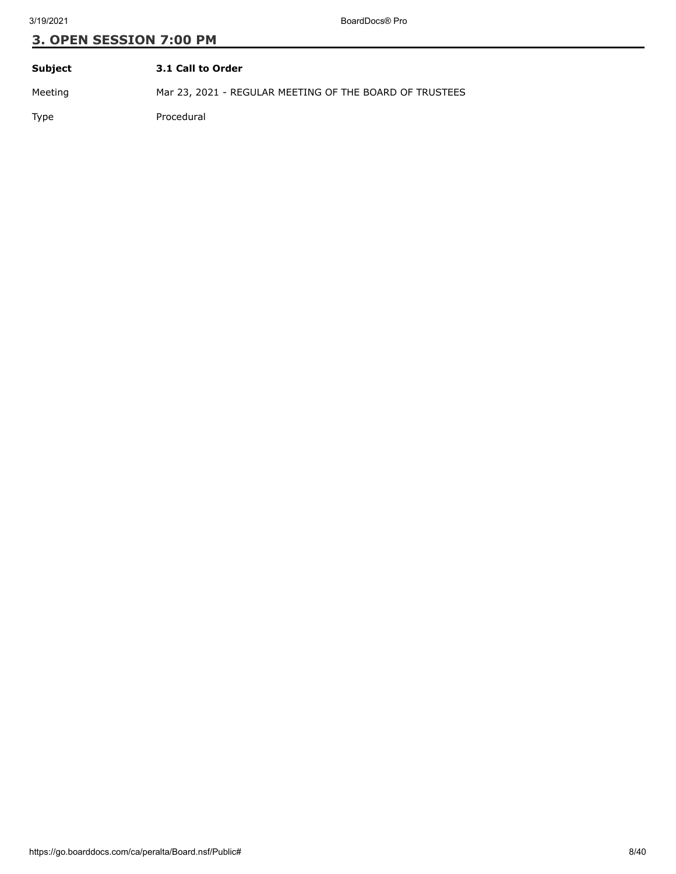| Subject | 3.1 Call to Order                                       |
|---------|---------------------------------------------------------|
| Meeting | Mar 23, 2021 - REGULAR MEETING OF THE BOARD OF TRUSTEES |
| Type    | Procedural                                              |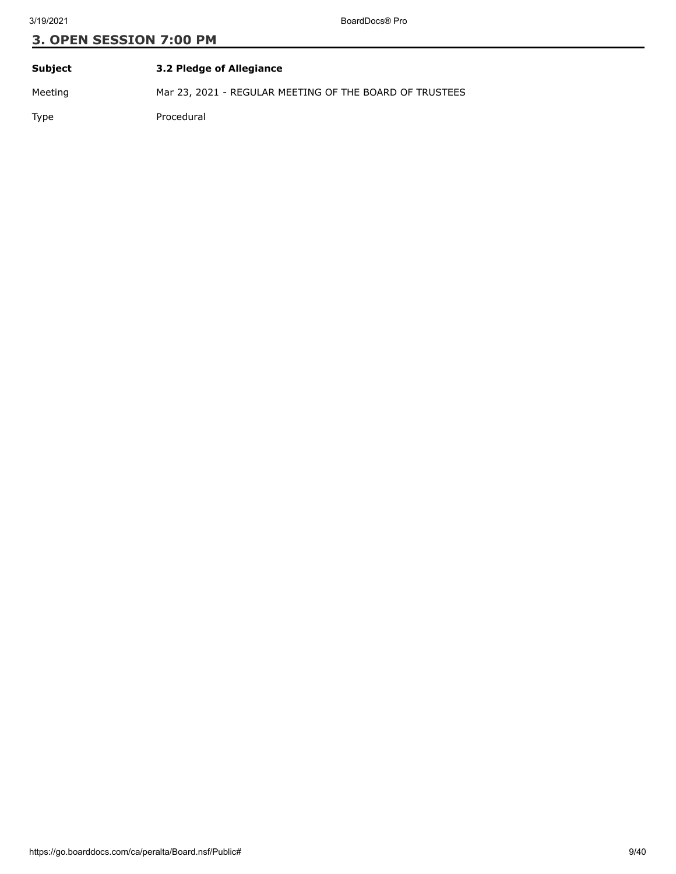| Subject     | 3.2 Pledge of Allegiance                                |
|-------------|---------------------------------------------------------|
| Meeting     | Mar 23, 2021 - REGULAR MEETING OF THE BOARD OF TRUSTEES |
| <b>Type</b> | Procedural                                              |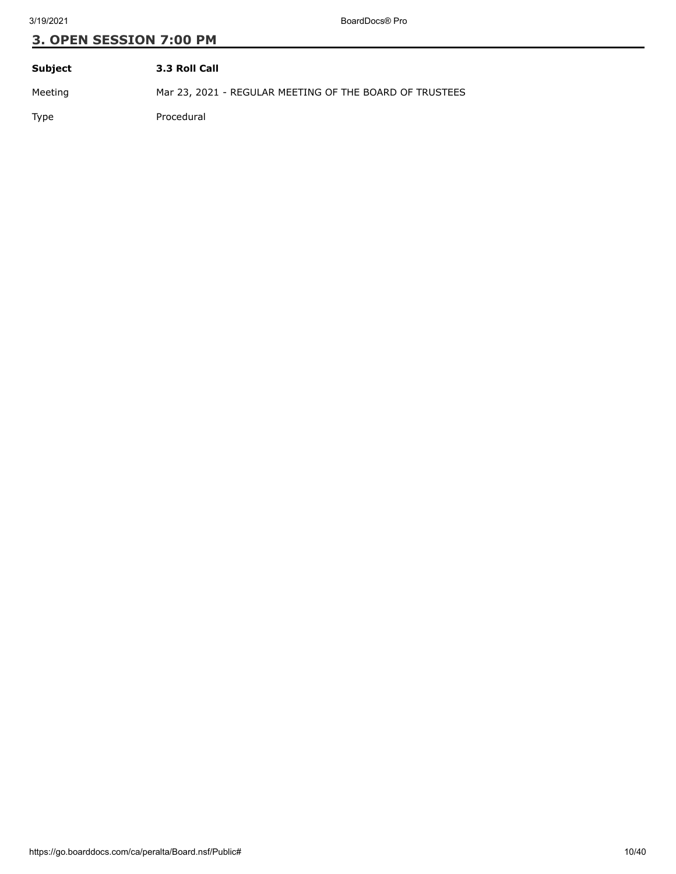| Subject | 3.3 Roll Call                                           |
|---------|---------------------------------------------------------|
| Meeting | Mar 23, 2021 - REGULAR MEETING OF THE BOARD OF TRUSTEES |
| Type    | Procedural                                              |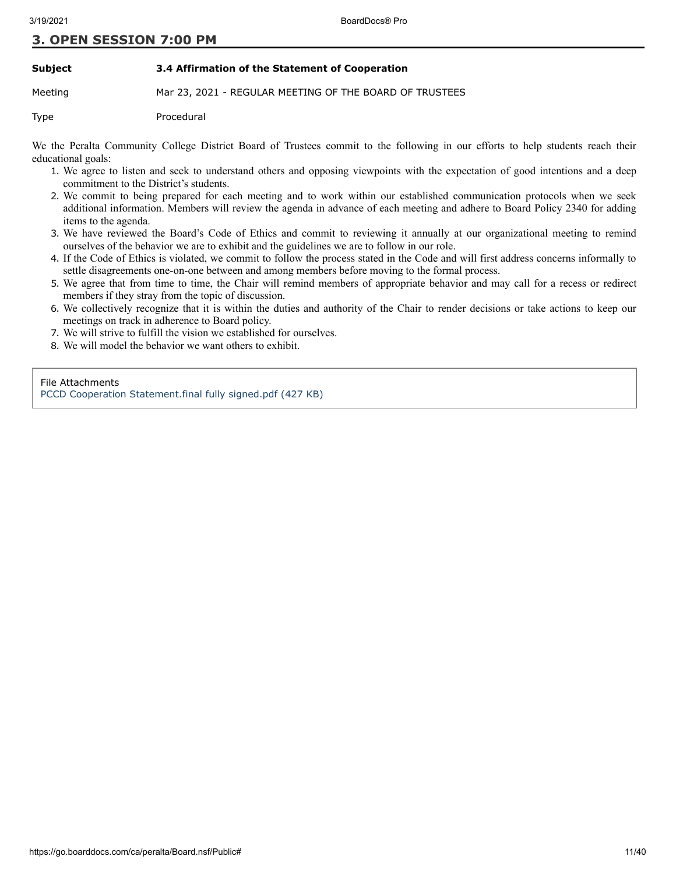#### **Subject 3.4 Affirmation of the Statement of Cooperation**

Meeting Mar 23, 2021 - REGULAR MEETING OF THE BOARD OF TRUSTEES

Type Procedural

We the Peralta Community College District Board of Trustees commit to the following in our efforts to help students reach their educational goals:

- 1. We agree to listen and seek to understand others and opposing viewpoints with the expectation of good intentions and a deep commitment to the District's students.
- 2. We commit to being prepared for each meeting and to work within our established communication protocols when we seek additional information. Members will review the agenda in advance of each meeting and adhere to Board Policy 2340 for adding items to the agenda.
- 3. We have reviewed the Board's Code of Ethics and commit to reviewing it annually at our organizational meeting to remind ourselves of the behavior we are to exhibit and the guidelines we are to follow in our role.
- 4. If the Code of Ethics is violated, we commit to follow the process stated in the Code and will first address concerns informally to settle disagreements one-on-one between and among members before moving to the formal process.
- 5. We agree that from time to time, the Chair will remind members of appropriate behavior and may call for a recess or redirect members if they stray from the topic of discussion.
- 6. We collectively recognize that it is within the duties and authority of the Chair to render decisions or take actions to keep our meetings on track in adherence to Board policy.
- 7. We will strive to fulfill the vision we established for ourselves.
- 8. We will model the behavior we want others to exhibit.

File Attachments [PCCD Cooperation Statement.final fully signed.pdf \(427 KB\)](https://go.boarddocs.com/ca/peralta/Board.nsf/files/BYZN465E0E17/$file/PCCD%20Cooperation%20Statement.final%20fully%20signed.pdf)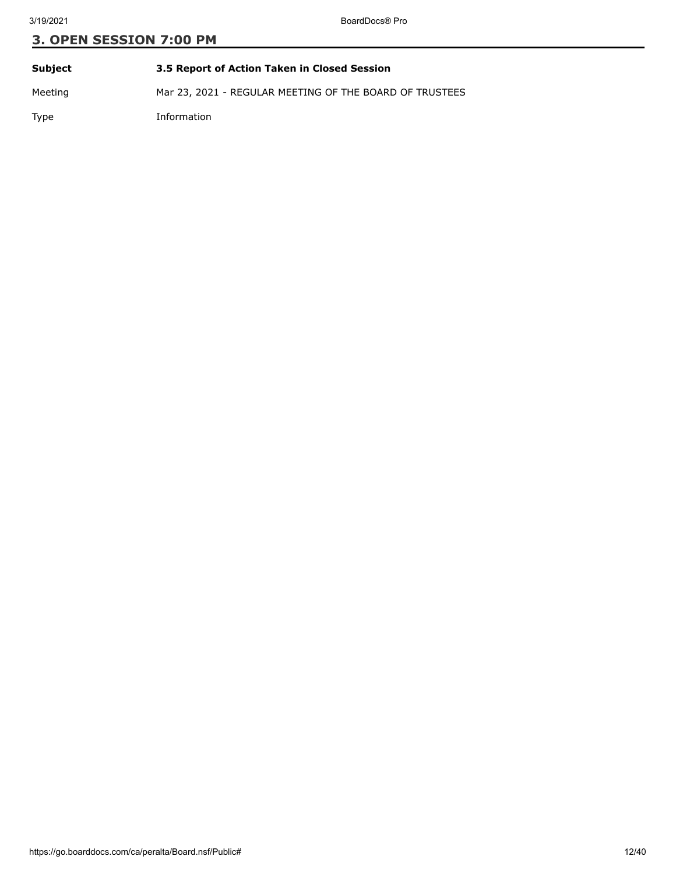| Subject | 3.5 Report of Action Taken in Closed Session            |
|---------|---------------------------------------------------------|
| Meeting | Mar 23, 2021 - REGULAR MEETING OF THE BOARD OF TRUSTEES |
| Type    | Information                                             |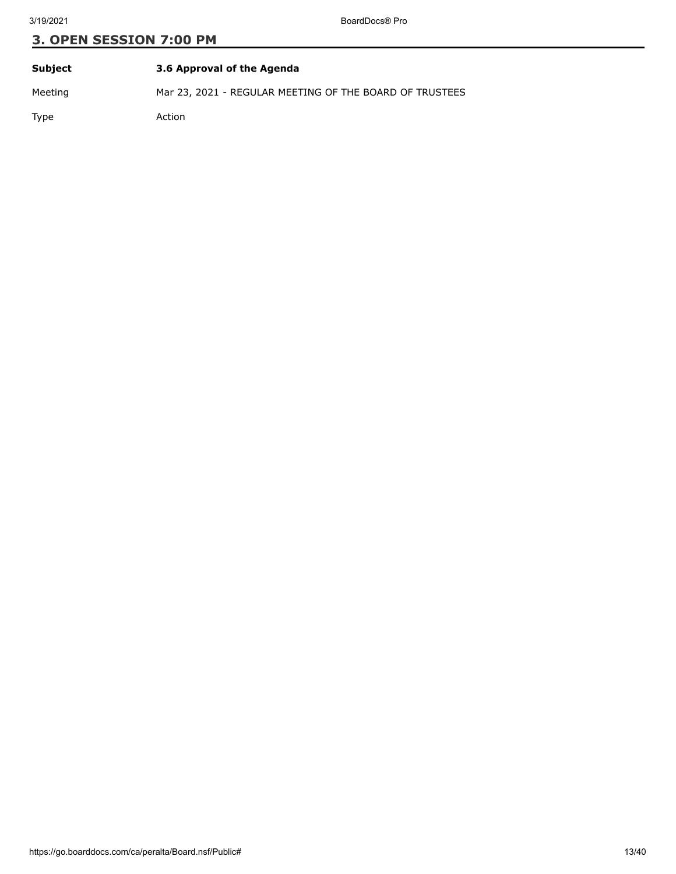| Subject | 3.6 Approval of the Agenda                              |
|---------|---------------------------------------------------------|
| Meeting | Mar 23, 2021 - REGULAR MEETING OF THE BOARD OF TRUSTEES |
| Type    | Action                                                  |

https://go.boarddocs.com/ca/peralta/Board.nsf/Public# 13/40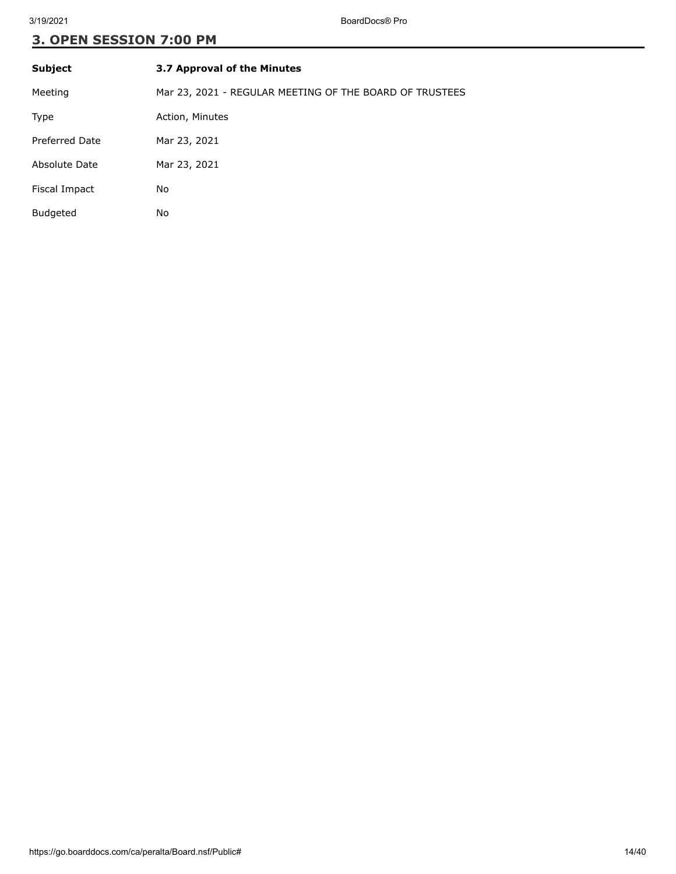| <b>Subject</b>        | 3.7 Approval of the Minutes                             |
|-----------------------|---------------------------------------------------------|
| Meeting               | Mar 23, 2021 - REGULAR MEETING OF THE BOARD OF TRUSTEES |
| Type                  | Action, Minutes                                         |
| <b>Preferred Date</b> | Mar 23, 2021                                            |
| Absolute Date         | Mar 23, 2021                                            |
| Fiscal Impact         | No                                                      |
| <b>Budgeted</b>       | No                                                      |
|                       |                                                         |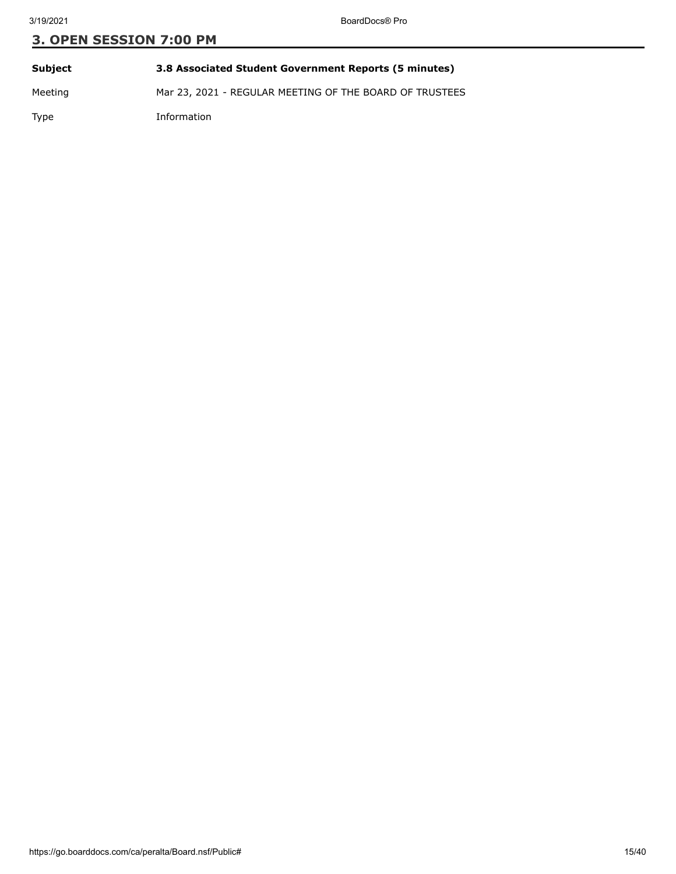| Subject | 3.8 Associated Student Government Reports (5 minutes)   |
|---------|---------------------------------------------------------|
| Meeting | Mar 23, 2021 - REGULAR MEETING OF THE BOARD OF TRUSTEES |
| Type    | Information                                             |

https://go.boarddocs.com/ca/peralta/Board.nsf/Public# 15/40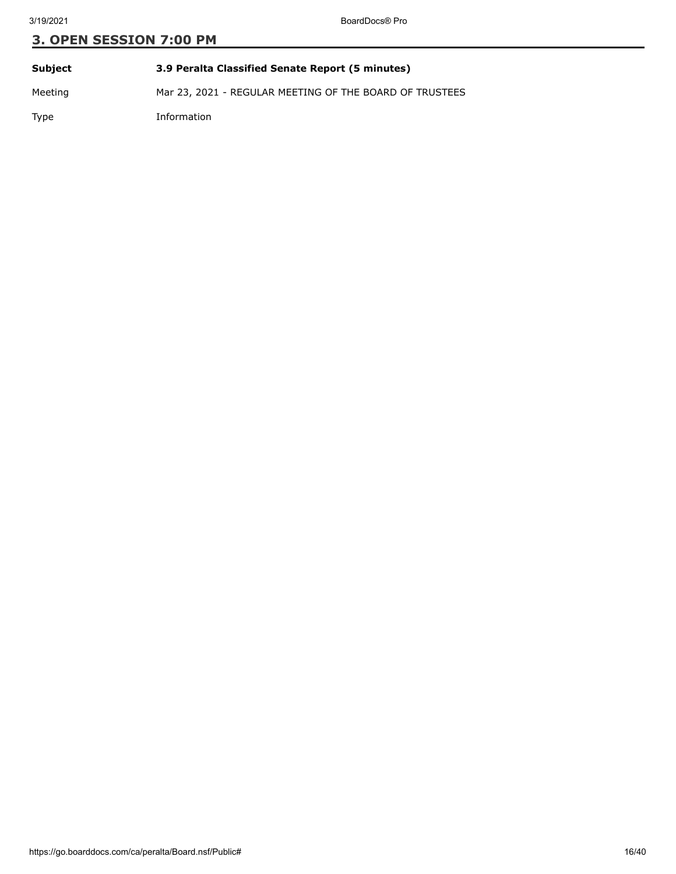| Subject | 3.9 Peralta Classified Senate Report (5 minutes)        |
|---------|---------------------------------------------------------|
| Meeting | Mar 23, 2021 - REGULAR MEETING OF THE BOARD OF TRUSTEES |

Type Information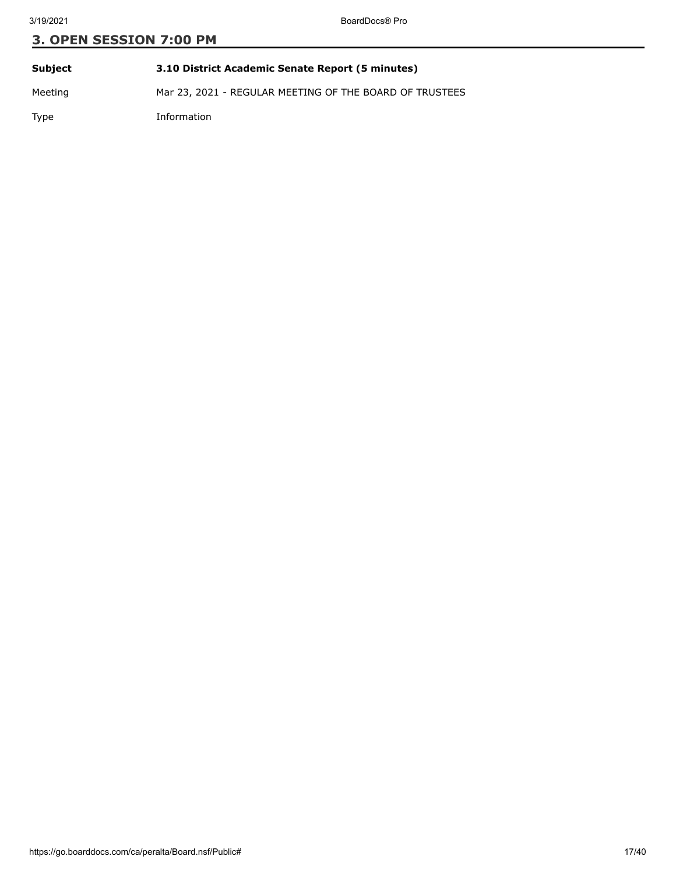| Subject | 3.10 District Academic Senate Report (5 minutes)        |
|---------|---------------------------------------------------------|
| Meeting | Mar 23, 2021 - REGULAR MEETING OF THE BOARD OF TRUSTEES |

Type Information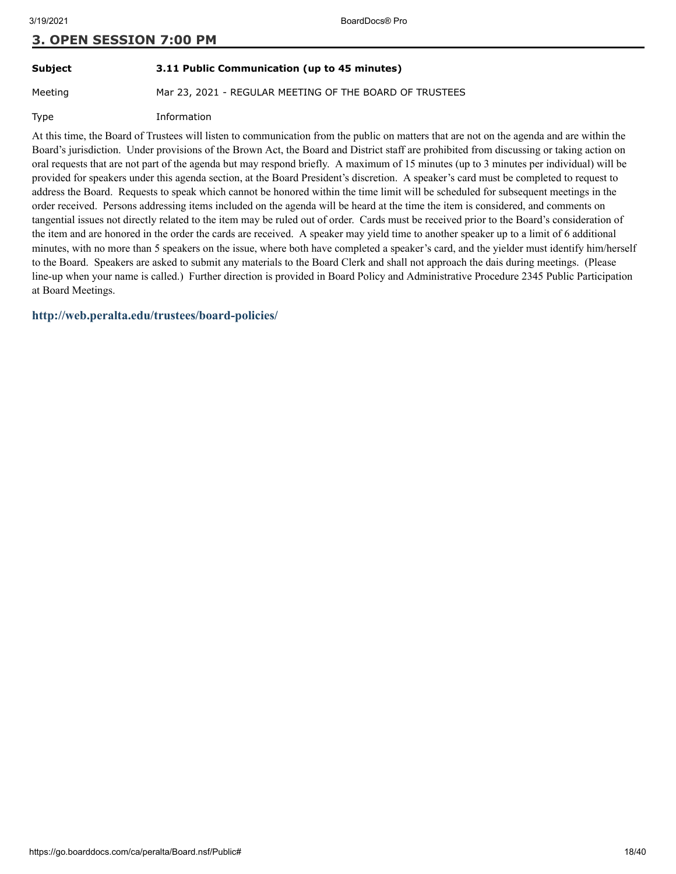# **Subject 3.11 Public Communication (up to 45 minutes)**

Meeting Mar 23, 2021 - REGULAR MEETING OF THE BOARD OF TRUSTEES

Type Information

At this time, the Board of Trustees will listen to communication from the public on matters that are not on the agenda and are within the Board's jurisdiction. Under provisions of the Brown Act, the Board and District staff are prohibited from discussing or taking action on oral requests that are not part of the agenda but may respond briefly. A maximum of 15 minutes (up to 3 minutes per individual) will be provided for speakers under this agenda section, at the Board President's discretion. A speaker's card must be completed to request to address the Board. Requests to speak which cannot be honored within the time limit will be scheduled for subsequent meetings in the order received. Persons addressing items included on the agenda will be heard at the time the item is considered, and comments on tangential issues not directly related to the item may be ruled out of order. Cards must be received prior to the Board's consideration of the item and are honored in the order the cards are received. A speaker may yield time to another speaker up to a limit of 6 additional minutes, with no more than 5 speakers on the issue, where both have completed a speaker's card, and the yielder must identify him/herself to the Board. Speakers are asked to submit any materials to the Board Clerk and shall not approach the dais during meetings. (Please line-up when your name is called.) Further direction is provided in Board Policy and Administrative Procedure 2345 Public Participation at Board Meetings.

**<http://web.peralta.edu/trustees/board-policies/>**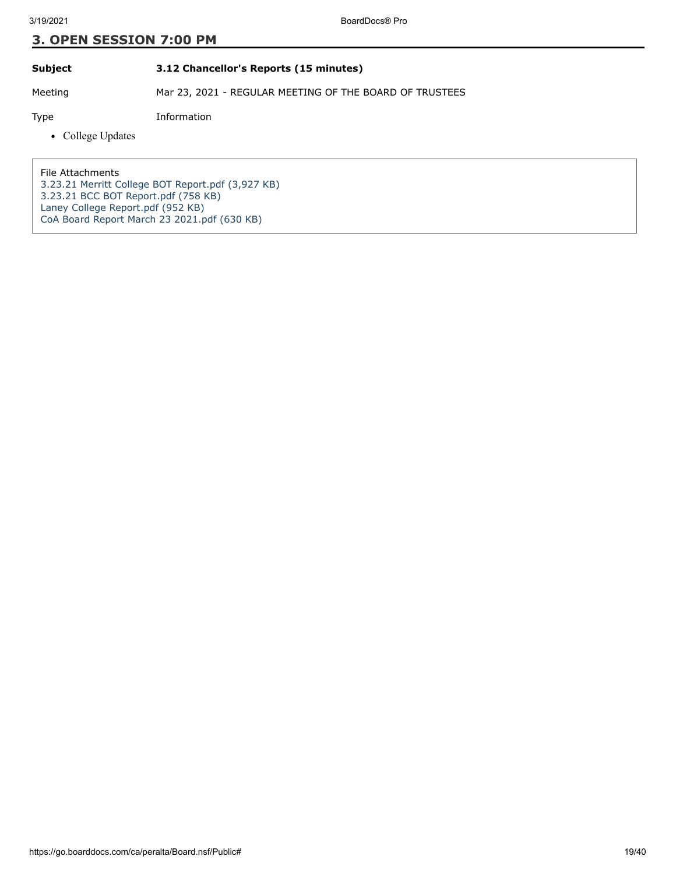#### **Subject 3.12 Chancellor's Reports (15 minutes)**

Meeting Mar 23, 2021 - REGULAR MEETING OF THE BOARD OF TRUSTEES

Type Information

• College Updates

File Attachments [3.23.21 Merritt College BOT Report.pdf \(3,927 KB\)](https://go.boarddocs.com/ca/peralta/Board.nsf/files/BZ6RG569B34C/$file/3.23.21%20Merritt%20College%20BOT%20Report.pdf) [3.23.21 BCC BOT Report.pdf \(758 KB\)](https://go.boarddocs.com/ca/peralta/Board.nsf/files/BZ8FXR41495E/$file/3.23.21%20BCC%20BOT%20Report.pdf) [Laney College Report.pdf \(952 KB\)](https://go.boarddocs.com/ca/peralta/Board.nsf/files/BZ94BX0AD33D/$file/Laney%20College%20Report.pdf) [CoA Board Report March 23 2021.pdf \(630 KB\)](https://go.boarddocs.com/ca/peralta/Board.nsf/files/BZ9PWT6639D1/$file/CoA%20Board%20Report%20March%2023%202021.pdf)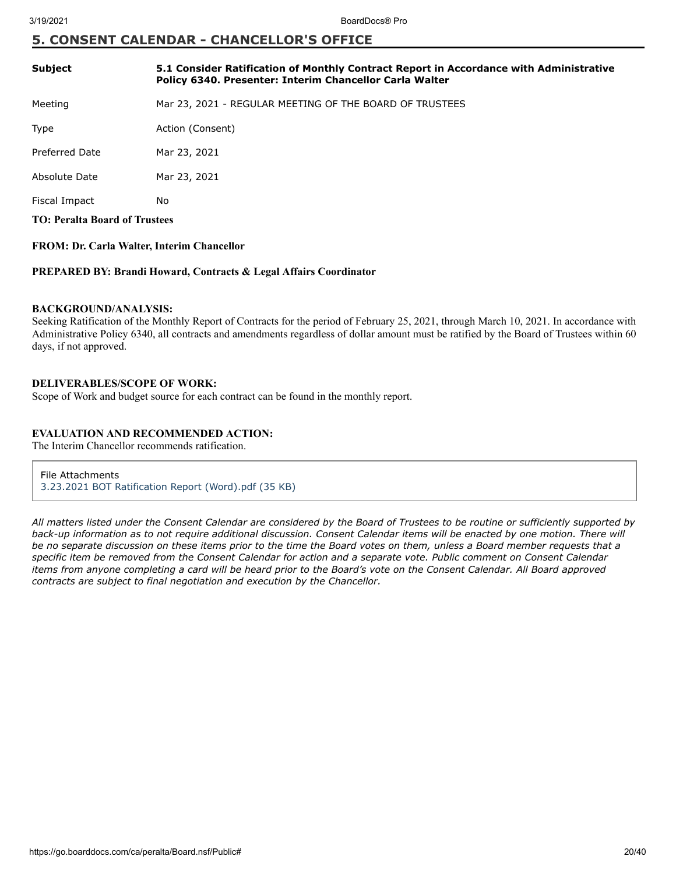## **5. CONSENT CALENDAR - CHANCELLOR'S OFFICE**

| <b>Subject</b>                       | 5.1 Consider Ratification of Monthly Contract Report in Accordance with Administrative<br>Policy 6340. Presenter: Interim Chancellor Carla Walter |
|--------------------------------------|---------------------------------------------------------------------------------------------------------------------------------------------------|
| Meeting                              | Mar 23, 2021 - REGULAR MEETING OF THE BOARD OF TRUSTEES                                                                                           |
| Type                                 | Action (Consent)                                                                                                                                  |
| Preferred Date                       | Mar 23, 2021                                                                                                                                      |
| Absolute Date                        | Mar 23, 2021                                                                                                                                      |
| Fiscal Impact                        | No                                                                                                                                                |
| <b>TO: Peralta Board of Trustees</b> |                                                                                                                                                   |

## **FROM: Dr. Carla Walter, Interim Chancellor**

#### **PREPARED BY: Brandi Howard, Contracts & Legal Affairs Coordinator**

#### **BACKGROUND/ANALYSIS:**

Seeking Ratification of the Monthly Report of Contracts for the period of February 25, 2021, through March 10, 2021. In accordance with Administrative Policy 6340, all contracts and amendments regardless of dollar amount must be ratified by the Board of Trustees within 60 days, if not approved.

#### **DELIVERABLES/SCOPE OF WORK:**

Scope of Work and budget source for each contract can be found in the monthly report.

#### **EVALUATION AND RECOMMENDED ACTION:**

The Interim Chancellor recommends ratification.

#### File Attachments

[3.23.2021 BOT Ratification Report \(Word\).pdf \(35 KB\)](https://go.boarddocs.com/ca/peralta/Board.nsf/files/BZ6P4P62744F/$file/3.23.2021%20BOT%20Ratification%20Report%20(Word).pdf)

*All matters listed under the Consent Calendar are considered by the Board of Trustees to be routine or sufficiently supported by back-up information as to not require additional discussion. Consent Calendar items will be enacted by one motion. There will be no separate discussion on these items prior to the time the Board votes on them, unless a Board member requests that a specific item be removed from the Consent Calendar for action and a separate vote. Public comment on Consent Calendar items from anyone completing a card will be heard prior to the Board's vote on the Consent Calendar. All Board approved contracts are subject to final negotiation and execution by the Chancellor.*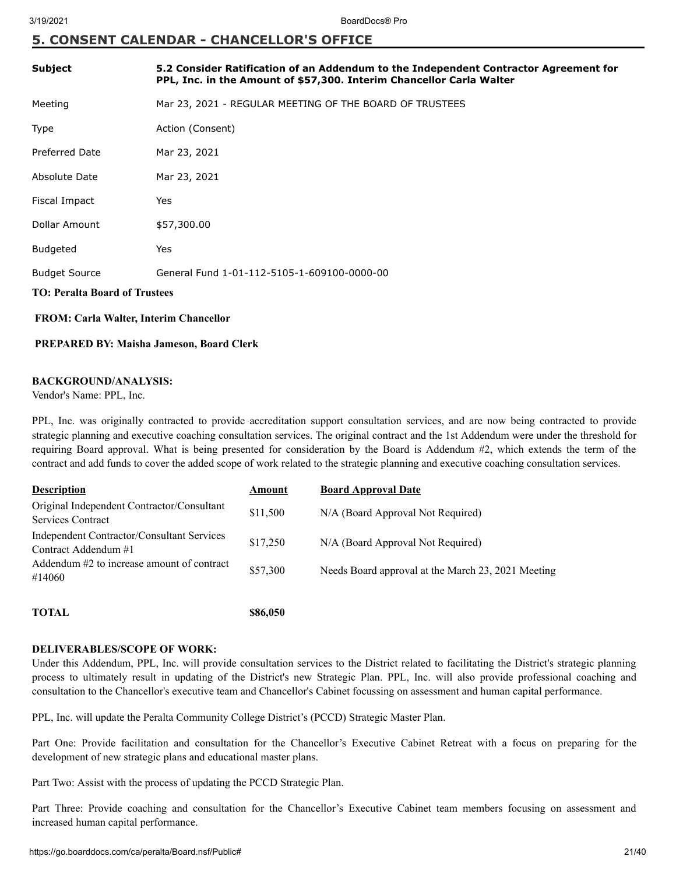## **5. CONSENT CALENDAR - CHANCELLOR'S OFFICE**

| <b>Subject</b>                                | 5.2 Consider Ratification of an Addendum to the Independent Contractor Agreement for<br>PPL, Inc. in the Amount of \$57,300. Interim Chancellor Carla Walter |  |
|-----------------------------------------------|--------------------------------------------------------------------------------------------------------------------------------------------------------------|--|
| Meeting                                       | Mar 23, 2021 - REGULAR MEETING OF THE BOARD OF TRUSTEES                                                                                                      |  |
| Type                                          | Action (Consent)                                                                                                                                             |  |
| <b>Preferred Date</b>                         | Mar 23, 2021                                                                                                                                                 |  |
| Absolute Date                                 | Mar 23, 2021                                                                                                                                                 |  |
| Fiscal Impact                                 | Yes                                                                                                                                                          |  |
| Dollar Amount                                 | \$57,300.00                                                                                                                                                  |  |
| <b>Budgeted</b>                               | Yes                                                                                                                                                          |  |
| <b>Budget Source</b>                          | General Fund 1-01-112-5105-1-609100-0000-00                                                                                                                  |  |
| <b>TO: Peralta Board of Trustees</b>          |                                                                                                                                                              |  |
| <b>FROM: Carla Walter, Interim Chancellor</b> |                                                                                                                                                              |  |

#### **PREPARED BY: Maisha Jameson, Board Clerk**

#### **BACKGROUND/ANALYSIS:**

Vendor's Name: PPL, Inc.

PPL, Inc. was originally contracted to provide accreditation support consultation services, and are now being contracted to provide strategic planning and executive coaching consultation services. The original contract and the 1st Addendum were under the threshold for requiring Board approval. What is being presented for consideration by the Board is Addendum #2, which extends the term of the contract and add funds to cover the added scope of work related to the strategic planning and executive coaching consultation services.

| <b>Description</b>                                                 | Amount   | <b>Board Approval Date</b>                         |
|--------------------------------------------------------------------|----------|----------------------------------------------------|
| Original Independent Contractor/Consultant<br>Services Contract    | \$11,500 | N/A (Board Approval Not Required)                  |
| Independent Contractor/Consultant Services<br>Contract Addendum #1 | \$17,250 | N/A (Board Approval Not Required)                  |
| Addendum #2 to increase amount of contract<br>#14060               | \$57,300 | Needs Board approval at the March 23, 2021 Meeting |
|                                                                    |          |                                                    |

**TOTAL \$86,050**

#### **DELIVERABLES/SCOPE OF WORK:**

Under this Addendum, PPL, Inc. will provide consultation services to the District related to facilitating the District's strategic planning process to ultimately result in updating of the District's new Strategic Plan. PPL, Inc. will also provide professional coaching and consultation to the Chancellor's executive team and Chancellor's Cabinet focussing on assessment and human capital performance.

PPL, Inc. will update the Peralta Community College District's (PCCD) Strategic Master Plan.

Part One: Provide facilitation and consultation for the Chancellor's Executive Cabinet Retreat with a focus on preparing for the development of new strategic plans and educational master plans.

Part Two: Assist with the process of updating the PCCD Strategic Plan.

Part Three: Provide coaching and consultation for the Chancellor's Executive Cabinet team members focusing on assessment and increased human capital performance.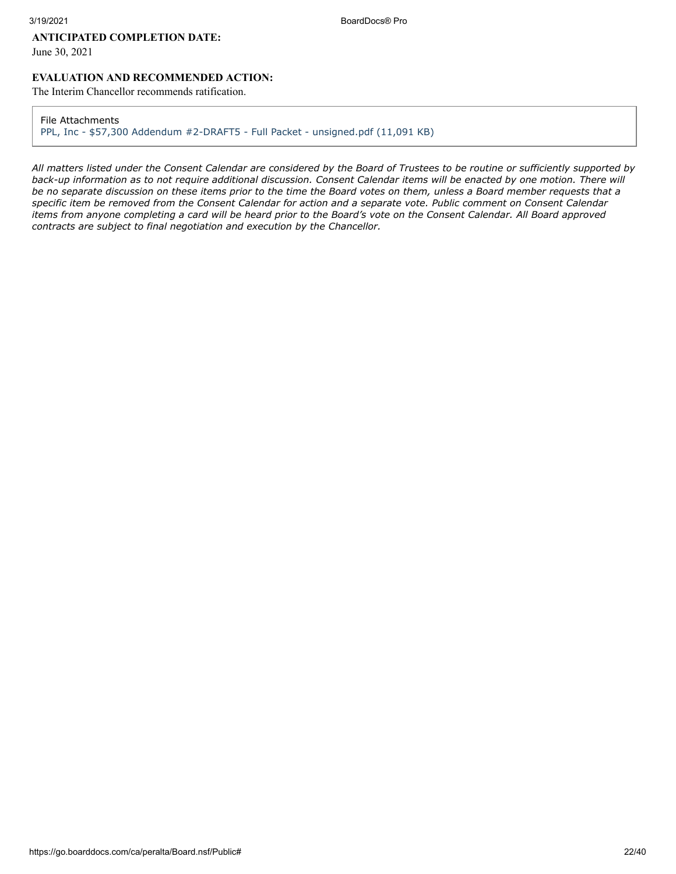#### **ANTICIPATED COMPLETION DATE:**

June 30, 2021

## **EVALUATION AND RECOMMENDED ACTION:**

The Interim Chancellor recommends ratification.

#### File Attachments

[PPL, Inc - \\$57,300 Addendum #2-DRAFT5 - Full Packet - unsigned.pdf \(11,091 KB\)](https://go.boarddocs.com/ca/peralta/Board.nsf/files/BZ9SKT7319F2/$file/PPL%2C%20Inc%20-%20%2457%2C300%20Addendum%20%232-DRAFT5%20-%20Full%20Packet%20-%20unsigned.pdf)

*All matters listed under the Consent Calendar are considered by the Board of Trustees to be routine or sufficiently supported by back-up information as to not require additional discussion. Consent Calendar items will be enacted by one motion. There will be no separate discussion on these items prior to the time the Board votes on them, unless a Board member requests that a specific item be removed from the Consent Calendar for action and a separate vote. Public comment on Consent Calendar items from anyone completing a card will be heard prior to the Board's vote on the Consent Calendar. All Board approved contracts are subject to final negotiation and execution by the Chancellor.*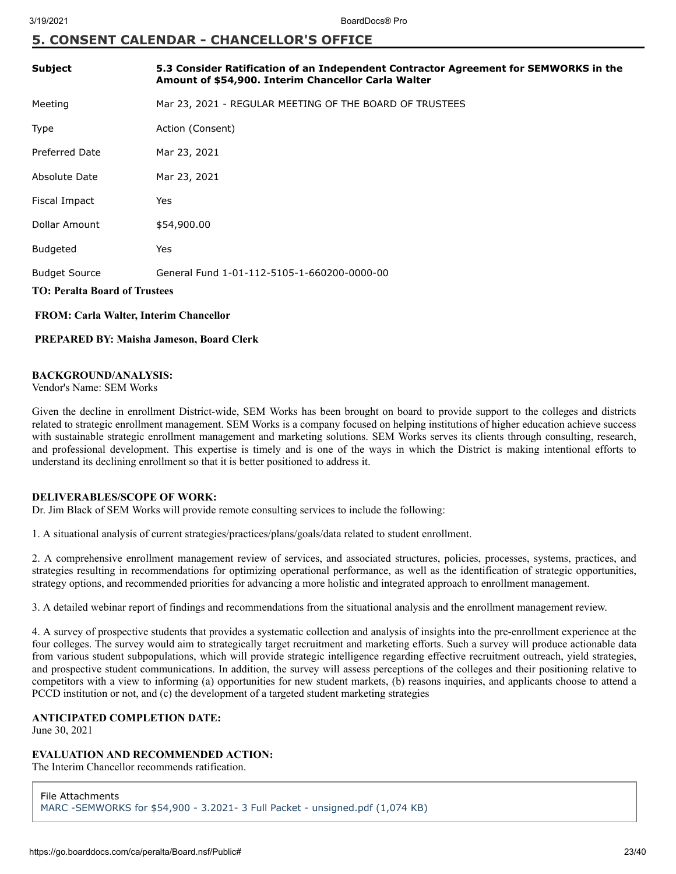## **5. CONSENT CALENDAR - CHANCELLOR'S OFFICE**

| <b>Subject</b>                                | 5.3 Consider Ratification of an Independent Contractor Agreement for SEMWORKS in the<br>Amount of \$54,900. Interim Chancellor Carla Walter |  |
|-----------------------------------------------|---------------------------------------------------------------------------------------------------------------------------------------------|--|
| Meeting                                       | Mar 23, 2021 - REGULAR MEETING OF THE BOARD OF TRUSTEES                                                                                     |  |
| <b>Type</b>                                   | Action (Consent)                                                                                                                            |  |
| <b>Preferred Date</b>                         | Mar 23, 2021                                                                                                                                |  |
| Absolute Date                                 | Mar 23, 2021                                                                                                                                |  |
| Fiscal Impact                                 | Yes                                                                                                                                         |  |
| Dollar Amount                                 | \$54,900.00                                                                                                                                 |  |
| <b>Budgeted</b>                               | Yes                                                                                                                                         |  |
| <b>Budget Source</b>                          | General Fund 1-01-112-5105-1-660200-0000-00                                                                                                 |  |
| <b>TO: Peralta Board of Trustees</b>          |                                                                                                                                             |  |
| <b>FROM: Carla Walter, Interim Chancellor</b> |                                                                                                                                             |  |

## **PREPARED BY: Maisha Jameson, Board Clerk**

#### **BACKGROUND/ANALYSIS:**

Vendor's Name: SEM Works

Given the decline in enrollment District-wide, SEM Works has been brought on board to provide support to the colleges and districts related to strategic enrollment management. SEM Works is a company focused on helping institutions of higher education achieve success with sustainable strategic enrollment management and marketing solutions. SEM Works serves its clients through consulting, research, and professional development. This expertise is timely and is one of the ways in which the District is making intentional efforts to understand its declining enrollment so that it is better positioned to address it.

#### **DELIVERABLES/SCOPE OF WORK:**

Dr. Jim Black of SEM Works will provide remote consulting services to include the following:

1. A situational analysis of current strategies/practices/plans/goals/data related to student enrollment.

2. A comprehensive enrollment management review of services, and associated structures, policies, processes, systems, practices, and strategies resulting in recommendations for optimizing operational performance, as well as the identification of strategic opportunities, strategy options, and recommended priorities for advancing a more holistic and integrated approach to enrollment management.

3. A detailed webinar report of findings and recommendations from the situational analysis and the enrollment management review.

4. A survey of prospective students that provides a systematic collection and analysis of insights into the pre-enrollment experience at the four colleges. The survey would aim to strategically target recruitment and marketing efforts. Such a survey will produce actionable data from various student subpopulations, which will provide strategic intelligence regarding effective recruitment outreach, yield strategies, and prospective student communications. In addition, the survey will assess perceptions of the colleges and their positioning relative to competitors with a view to informing (a) opportunities for new student markets, (b) reasons inquiries, and applicants choose to attend a PCCD institution or not, and (c) the development of a targeted student marketing strategies

#### **ANTICIPATED COMPLETION DATE:**

June 30, 2021

## **EVALUATION AND RECOMMENDED ACTION:**

The Interim Chancellor recommends ratification.

File Attachments [MARC -SEMWORKS for \\$54,900 - 3.2021- 3 Full Packet - unsigned.pdf \(1,074 KB\)](https://go.boarddocs.com/ca/peralta/Board.nsf/files/BZ9MCB5A886B/$file/MARC%20-SEMWORKS%20for%20%2454%2C900%20-%203.2021-%203%20Full%20Packet%20-%20unsigned.pdf)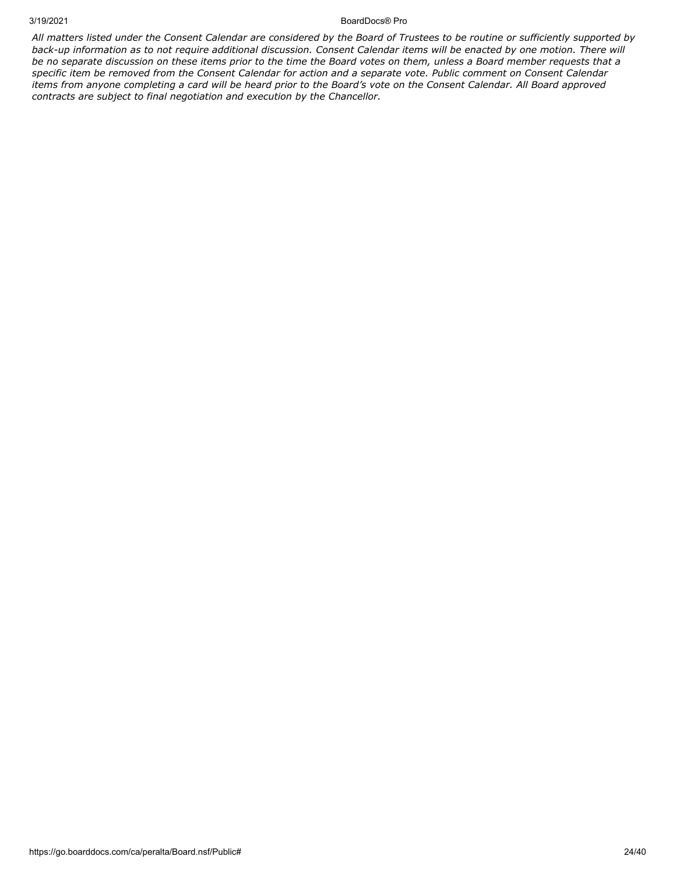#### 3/19/2021 BoardDocs® Pro

*All matters listed under the Consent Calendar are considered by the Board of Trustees to be routine or sufficiently supported by back-up information as to not require additional discussion. Consent Calendar items will be enacted by one motion. There will be no separate discussion on these items prior to the time the Board votes on them, unless a Board member requests that a specific item be removed from the Consent Calendar for action and a separate vote. Public comment on Consent Calendar items from anyone completing a card will be heard prior to the Board's vote on the Consent Calendar. All Board approved contracts are subject to final negotiation and execution by the Chancellor.*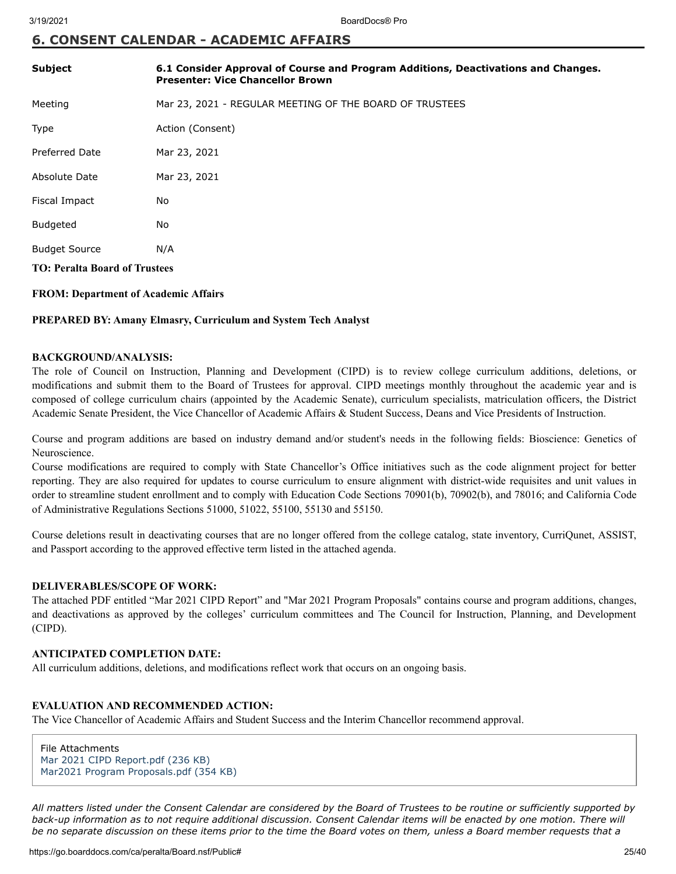## **6. CONSENT CALENDAR - ACADEMIC AFFAIRS**

| <b>Subject</b>                       | 6.1 Consider Approval of Course and Program Additions, Deactivations and Changes.<br><b>Presenter: Vice Chancellor Brown</b> |  |  |
|--------------------------------------|------------------------------------------------------------------------------------------------------------------------------|--|--|
| Meeting                              | Mar 23, 2021 - REGULAR MEETING OF THE BOARD OF TRUSTEES                                                                      |  |  |
| Type                                 | Action (Consent)                                                                                                             |  |  |
| <b>Preferred Date</b>                | Mar 23, 2021                                                                                                                 |  |  |
| Absolute Date                        | Mar 23, 2021                                                                                                                 |  |  |
| Fiscal Impact                        | No                                                                                                                           |  |  |
| <b>Budgeted</b>                      | <b>No</b>                                                                                                                    |  |  |
| <b>Budget Source</b>                 | N/A                                                                                                                          |  |  |
| <b>TO: Peralta Board of Trustees</b> |                                                                                                                              |  |  |

#### **FROM: Department of Academic Affairs**

#### **PREPARED BY: Amany Elmasry, Curriculum and System Tech Analyst**

#### **BACKGROUND/ANALYSIS:**

The role of Council on Instruction, Planning and Development (CIPD) is to review college curriculum additions, deletions, or modifications and submit them to the Board of Trustees for approval. CIPD meetings monthly throughout the academic year and is composed of college curriculum chairs (appointed by the Academic Senate), curriculum specialists, matriculation officers, the District Academic Senate President, the Vice Chancellor of Academic Affairs & Student Success, Deans and Vice Presidents of Instruction.

Course and program additions are based on industry demand and/or student's needs in the following fields: Bioscience: Genetics of Neuroscience.

Course modifications are required to comply with State Chancellor's Office initiatives such as the code alignment project for better reporting. They are also required for updates to course curriculum to ensure alignment with district-wide requisites and unit values in order to streamline student enrollment and to comply with Education Code Sections 70901(b), 70902(b), and 78016; and California Code of Administrative Regulations Sections 51000, 51022, 55100, 55130 and 55150.

Course deletions result in deactivating courses that are no longer offered from the college catalog, state inventory, CurriQunet, ASSIST, and Passport according to the approved effective term listed in the attached agenda.

#### **DELIVERABLES/SCOPE OF WORK:**

The attached PDF entitled "Mar 2021 CIPD Report" and "Mar 2021 Program Proposals" contains course and program additions, changes, and deactivations as approved by the colleges' curriculum committees and The Council for Instruction, Planning, and Development (CIPD).

#### **ANTICIPATED COMPLETION DATE:**

All curriculum additions, deletions, and modifications reflect work that occurs on an ongoing basis.

#### **EVALUATION AND RECOMMENDED ACTION:**

The Vice Chancellor of Academic Affairs and Student Success and the Interim Chancellor recommend approval.

File Attachments [Mar 2021 CIPD Report.pdf \(236 KB\)](https://go.boarddocs.com/ca/peralta/Board.nsf/files/BYYP2L5ED45F/$file/Mar%202021%20CIPD%20Report.pdf) [Mar2021 Program Proposals.pdf \(354 KB\)](https://go.boarddocs.com/ca/peralta/Board.nsf/files/BYYP2N5EDD7B/$file/Mar2021%20Program%20Proposals.pdf)

*All matters listed under the Consent Calendar are considered by the Board of Trustees to be routine or sufficiently supported by back-up information as to not require additional discussion. Consent Calendar items will be enacted by one motion. There will be no separate discussion on these items prior to the time the Board votes on them, unless a Board member requests that a*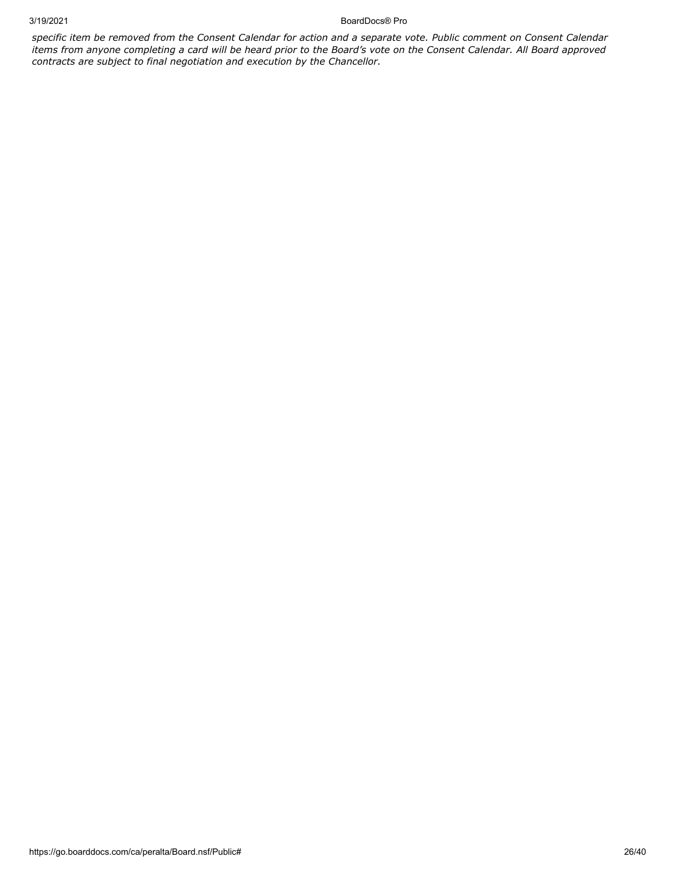3/19/2021 BoardDocs® Pro

*specific item be removed from the Consent Calendar for action and a separate vote. Public comment on Consent Calendar items from anyone completing a card will be heard prior to the Board's vote on the Consent Calendar. All Board approved contracts are subject to final negotiation and execution by the Chancellor.*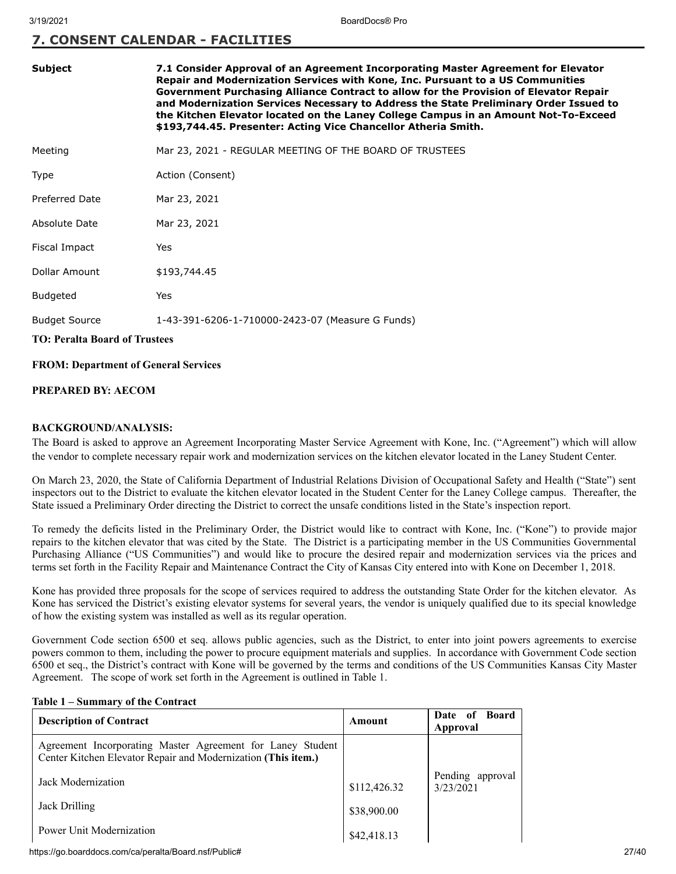## **7. CONSENT CALENDAR - FACILITIES**

| Subject | 7.1 Consider Approval of an Agreement Incorporating Master Agreement for Elevator     |
|---------|---------------------------------------------------------------------------------------|
|         | Repair and Modernization Services with Kone, Inc. Pursuant to a US Communities        |
|         | Government Purchasing Alliance Contract to allow for the Provision of Elevator Repair |
|         | and Modernization Services Necessary to Address the State Preliminary Order Issued to |
|         | the Kitchen Elevator located on the Laney College Campus in an Amount Not-To-Exceed   |
|         | \$193,744.45. Presenter: Acting Vice Chancellor Atheria Smith.                        |
|         |                                                                                       |

Meeting Mar 23, 2021 - REGULAR MEETING OF THE BOARD OF TRUSTEES

| Type | Action (Consent) |  |  |
|------|------------------|--|--|
|      |                  |  |  |

Preferred Date Mar 23, 2021

Absolute Date Mar 23, 2021

Fiscal Impact Yes

Dollar Amount \$193,744.45

Budgeted Yes

Budget Source 1-43-391-6206-1-710000-2423-07 (Measure G Funds)

#### **TO: Peralta Board of Trustees**

#### **FROM: Department of General Services**

#### **PREPARED BY: AECOM**

#### **BACKGROUND/ANALYSIS:**

The Board is asked to approve an Agreement Incorporating Master Service Agreement with Kone, Inc. ("Agreement") which will allow the vendor to complete necessary repair work and modernization services on the kitchen elevator located in the Laney Student Center.

On March 23, 2020, the State of California Department of Industrial Relations Division of Occupational Safety and Health ("State") sent inspectors out to the District to evaluate the kitchen elevator located in the Student Center for the Laney College campus. Thereafter, the State issued a Preliminary Order directing the District to correct the unsafe conditions listed in the State's inspection report.

To remedy the deficits listed in the Preliminary Order, the District would like to contract with Kone, Inc. ("Kone") to provide major repairs to the kitchen elevator that was cited by the State. The District is a participating member in the US Communities Governmental Purchasing Alliance ("US Communities") and would like to procure the desired repair and modernization services via the prices and terms set forth in the Facility Repair and Maintenance Contract the City of Kansas City entered into with Kone on December 1, 2018.

Kone has provided three proposals for the scope of services required to address the outstanding State Order for the kitchen elevator. As Kone has serviced the District's existing elevator systems for several years, the vendor is uniquely qualified due to its special knowledge of how the existing system was installed as well as its regular operation.

Government Code section 6500 et seq. allows public agencies, such as the District, to enter into joint powers agreements to exercise powers common to them, including the power to procure equipment materials and supplies. In accordance with Government Code section 6500 et seq., the District's contract with Kone will be governed by the terms and conditions of the US Communities Kansas City Master Agreement. The scope of work set forth in the Agreement is outlined in Table 1.

#### **Table 1 – Summary of the Contract**

| <b>Description of Contract</b>                                                                                              | Amount       | Date of Board<br>Approval     |
|-----------------------------------------------------------------------------------------------------------------------------|--------------|-------------------------------|
| Agreement Incorporating Master Agreement for Laney Student<br>Center Kitchen Elevator Repair and Modernization (This item.) |              |                               |
| Jack Modernization                                                                                                          | \$112,426.32 | Pending approval<br>3/23/2021 |
| Jack Drilling                                                                                                               | \$38,900.00  |                               |
| Power Unit Modernization                                                                                                    | \$42,418.13  |                               |

https://go.boarddocs.com/ca/peralta/Board.nsf/Public# 27/40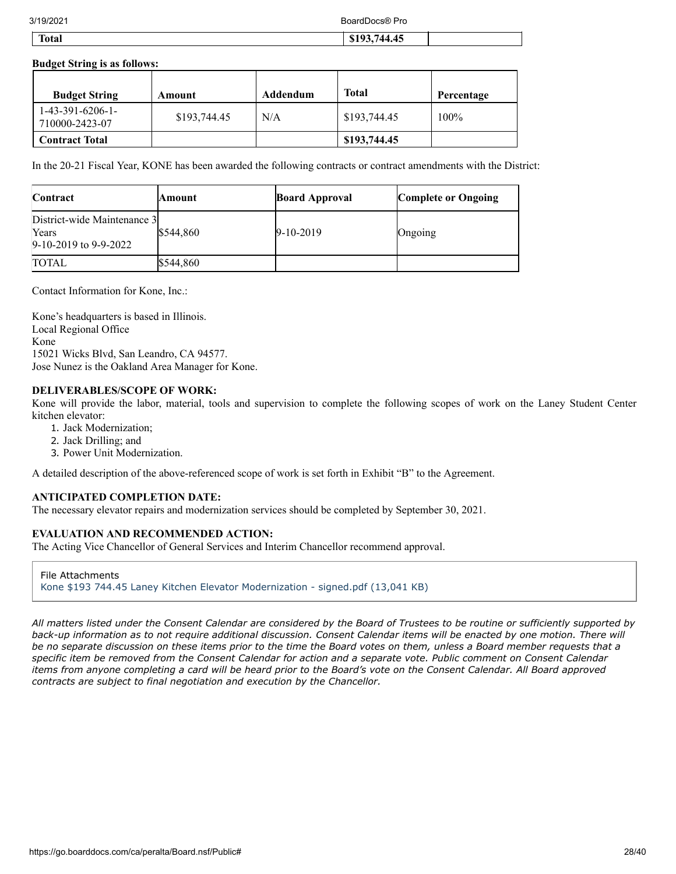3/19/2021 BoardDocs® Pro

| <b>CONTRACTOR</b><br>Total | $\sim$ $\sim$<br>$\sim$ $\sim$ $\sim$ $\sim$<br>$\mathbb{C}$<br>744<br>л.<br><b>44.4.</b><br>9179.7 |  |
|----------------------------|-----------------------------------------------------------------------------------------------------|--|
|                            |                                                                                                     |  |

#### **Budget String is as follows:**

| <b>Budget String</b>                 | Amount       | Addendum | Total        | Percentage |
|--------------------------------------|--------------|----------|--------------|------------|
| $1-43-391-6206-1-$<br>710000-2423-07 | \$193,744.45 | N/A      | \$193,744.45 | $100\%$    |
| <b>Contract Total</b>                |              |          | \$193,744.45 |            |

In the 20-21 Fiscal Year, KONE has been awarded the following contracts or contract amendments with the District:

| Contract                                                          | Amount    | <b>Board Approval</b> | <b>Complete or Ongoing</b> |
|-------------------------------------------------------------------|-----------|-----------------------|----------------------------|
| District-wide Maintenance 3<br>Years<br>$9-10-2019$ to $9-9-2022$ | \$544,860 | $9 - 10 - 2019$       | Ongoing                    |
| <b>TOTAL</b>                                                      | \$544,860 |                       |                            |

Contact Information for Kone, Inc.:

Kone's headquarters is based in Illinois. Local Regional Office Kone 15021 Wicks Blvd, San Leandro, CA 94577. Jose Nunez is the Oakland Area Manager for Kone.

#### **DELIVERABLES/SCOPE OF WORK:**

Kone will provide the labor, material, tools and supervision to complete the following scopes of work on the Laney Student Center kitchen elevator:

- 1. Jack Modernization;
- 2. Jack Drilling; and
- 3. Power Unit Modernization.

A detailed description of the above-referenced scope of work is set forth in Exhibit "B" to the Agreement.

#### **ANTICIPATED COMPLETION DATE:**

The necessary elevator repairs and modernization services should be completed by September 30, 2021.

#### **EVALUATION AND RECOMMENDED ACTION:**

The Acting Vice Chancellor of General Services and Interim Chancellor recommend approval.

File Attachments [Kone \\$193 744.45 Laney Kitchen Elevator Modernization - signed.pdf \(13,041 KB\)](https://go.boarddocs.com/ca/peralta/Board.nsf/files/BYZTHC76642F/$file/Kone%20%24193%20744.45%20Laney%20Kitchen%20Elevator%20Modernization%20-%20signed.pdf)

*All matters listed under the Consent Calendar are considered by the Board of Trustees to be routine or sufficiently supported by back-up information as to not require additional discussion. Consent Calendar items will be enacted by one motion. There will be no separate discussion on these items prior to the time the Board votes on them, unless a Board member requests that a specific item be removed from the Consent Calendar for action and a separate vote. Public comment on Consent Calendar items from anyone completing a card will be heard prior to the Board's vote on the Consent Calendar. All Board approved contracts are subject to final negotiation and execution by the Chancellor.*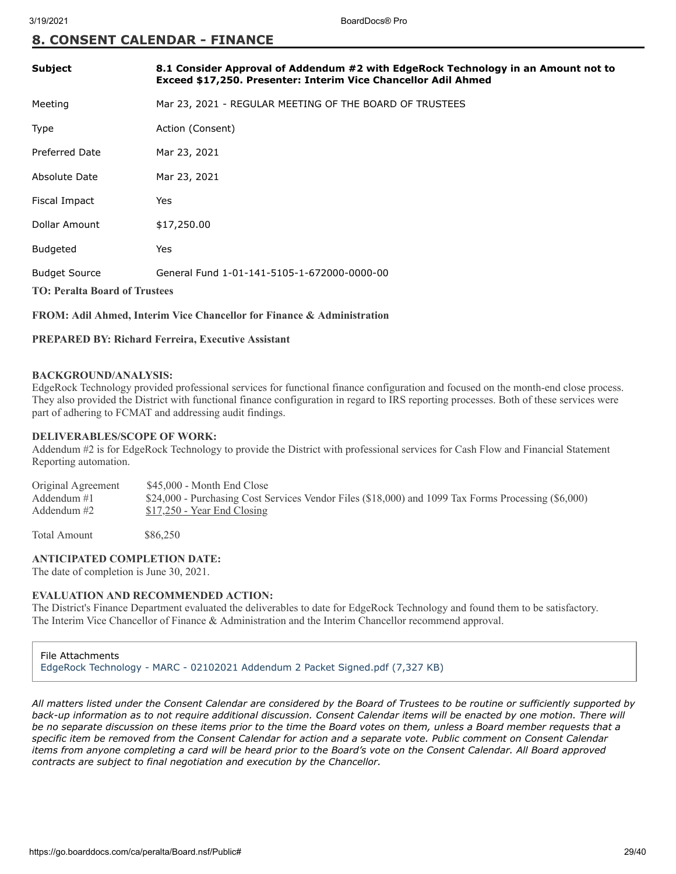## **8. CONSENT CALENDAR - FINANCE**

| <b>Subject</b>                                               | 8.1 Consider Approval of Addendum #2 with EdgeRock Technology in an Amount not to<br>Exceed \$17,250. Presenter: Interim Vice Chancellor Adil Ahmed |
|--------------------------------------------------------------|-----------------------------------------------------------------------------------------------------------------------------------------------------|
| Meeting                                                      | Mar 23, 2021 - REGULAR MEETING OF THE BOARD OF TRUSTEES                                                                                             |
| <b>Type</b>                                                  | Action (Consent)                                                                                                                                    |
| <b>Preferred Date</b>                                        | Mar 23, 2021                                                                                                                                        |
| Absolute Date                                                | Mar 23, 2021                                                                                                                                        |
| Fiscal Impact                                                | Yes                                                                                                                                                 |
| Dollar Amount                                                | \$17,250.00                                                                                                                                         |
| <b>Budgeted</b>                                              | Yes                                                                                                                                                 |
| <b>Budget Source</b><br><b>TO: Peralta Board of Trustees</b> | General Fund 1-01-141-5105-1-672000-0000-00                                                                                                         |

#### **FROM: Adil Ahmed, Interim Vice Chancellor for Finance & Administration**

#### **PREPARED BY: Richard Ferreira, Executive Assistant**

#### **BACKGROUND/ANALYSIS:**

EdgeRock Technology provided professional services for functional finance configuration and focused on the month-end close process. They also provided the District with functional finance configuration in regard to IRS reporting processes. Both of these services were part of adhering to FCMAT and addressing audit findings.

#### **DELIVERABLES/SCOPE OF WORK:**

Addendum #2 is for EdgeRock Technology to provide the District with professional services for Cash Flow and Financial Statement Reporting automation.

Original Agreement \$45,000 - Month End Close<br>Addendum #1 \$24,000 - Purchasing Cost S \$24,000 - Purchasing Cost Services Vendor Files (\$18,000) and 1099 Tax Forms Processing (\$6,000) Addendum #2  $$17,250$  - Year End Closing

Total Amount \$86,250

#### **ANTICIPATED COMPLETION DATE:**

The date of completion is June 30, 2021.

#### **EVALUATION AND RECOMMENDED ACTION:**

The District's Finance Department evaluated the deliverables to date for EdgeRock Technology and found them to be satisfactory. The Interim Vice Chancellor of Finance & Administration and the Interim Chancellor recommend approval.

File Attachments [EdgeRock Technology - MARC - 02102021 Addendum 2 Packet Signed.pdf \(7,327 KB\)](https://go.boarddocs.com/ca/peralta/Board.nsf/files/BZ2S6U7109F4/$file/EdgeRock%20Technology%20-%20MARC%20-%2002102021%20Addendum%202%20Packet%20Signed.pdf)

*All matters listed under the Consent Calendar are considered by the Board of Trustees to be routine or sufficiently supported by back-up information as to not require additional discussion. Consent Calendar items will be enacted by one motion. There will be no separate discussion on these items prior to the time the Board votes on them, unless a Board member requests that a specific item be removed from the Consent Calendar for action and a separate vote. Public comment on Consent Calendar items from anyone completing a card will be heard prior to the Board's vote on the Consent Calendar. All Board approved contracts are subject to final negotiation and execution by the Chancellor.*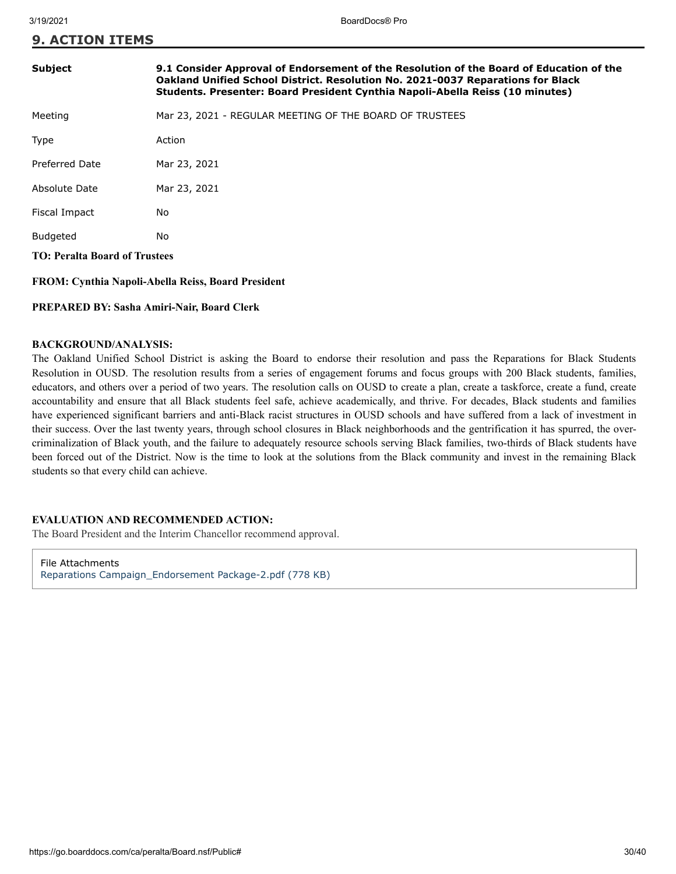| <b>Subject</b>                                     | 9.1 Consider Approval of Endorsement of the Resolution of the Board of Education of the<br>Oakland Unified School District. Resolution No. 2021-0037 Reparations for Black<br>Students. Presenter: Board President Cynthia Napoli-Abella Reiss (10 minutes) |  |
|----------------------------------------------------|-------------------------------------------------------------------------------------------------------------------------------------------------------------------------------------------------------------------------------------------------------------|--|
| Meeting                                            | Mar 23, 2021 - REGULAR MEETING OF THE BOARD OF TRUSTEES                                                                                                                                                                                                     |  |
| Type                                               | Action                                                                                                                                                                                                                                                      |  |
| <b>Preferred Date</b>                              | Mar 23, 2021                                                                                                                                                                                                                                                |  |
| Absolute Date                                      | Mar 23, 2021                                                                                                                                                                                                                                                |  |
| Fiscal Impact                                      | No                                                                                                                                                                                                                                                          |  |
| Budgeted                                           | No.                                                                                                                                                                                                                                                         |  |
| <b>TO: Peralta Board of Trustees</b>               |                                                                                                                                                                                                                                                             |  |
| FROM: Cynthia Napoli-Abella Reiss, Board President |                                                                                                                                                                                                                                                             |  |

#### **PREPARED BY: Sasha Amiri-Nair, Board Clerk**

#### **BACKGROUND/ANALYSIS:**

The Oakland Unified School District is asking the Board to endorse their resolution and pass the Reparations for Black Students Resolution in OUSD. The resolution results from a series of engagement forums and focus groups with 200 Black students, families, educators, and others over a period of two years. The resolution calls on OUSD to create a plan, create a taskforce, create a fund, create accountability and ensure that all Black students feel safe, achieve academically, and thrive. For decades, Black students and families have experienced significant barriers and anti-Black racist structures in OUSD schools and have suffered from a lack of investment in their success. Over the last twenty years, through school closures in Black neighborhoods and the gentrification it has spurred, the overcriminalization of Black youth, and the failure to adequately resource schools serving Black families, two-thirds of Black students have been forced out of the District. Now is the time to look at the solutions from the Black community and invest in the remaining Black students so that every child can achieve.

#### **EVALUATION AND RECOMMENDED ACTION:**

The Board President and the Interim Chancellor recommend approval.

File Attachments [Reparations Campaign\\_Endorsement Package-2.pdf \(778 KB\)](https://go.boarddocs.com/ca/peralta/Board.nsf/files/BZ7UTU7DA7BC/$file/Reparations%20Campaign_Endorsement%20Package-2.pdf)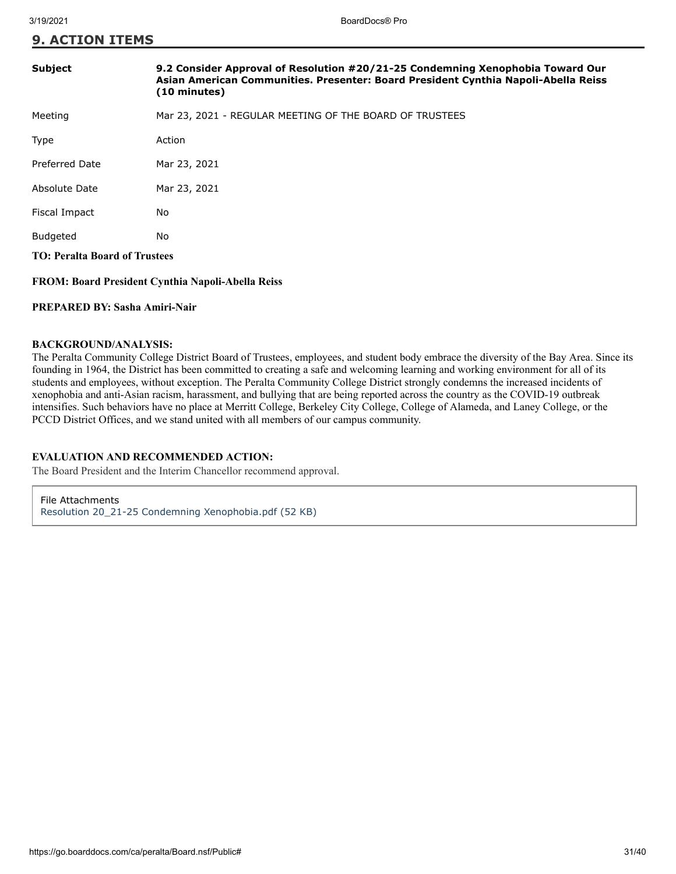| <b>Subject</b>                       | 9.2 Consider Approval of Resolution #20/21-25 Condemning Xenophobia Toward Our<br>Asian American Communities. Presenter: Board President Cynthia Napoli-Abella Reiss<br>$(10 \text{ minutes})$ |  |
|--------------------------------------|------------------------------------------------------------------------------------------------------------------------------------------------------------------------------------------------|--|
| Meeting                              | Mar 23, 2021 - REGULAR MEETING OF THE BOARD OF TRUSTEES                                                                                                                                        |  |
| <b>Type</b>                          | Action                                                                                                                                                                                         |  |
| Preferred Date                       | Mar 23, 2021                                                                                                                                                                                   |  |
| Absolute Date                        | Mar 23, 2021                                                                                                                                                                                   |  |
| Fiscal Impact                        | No.                                                                                                                                                                                            |  |
| <b>Budgeted</b>                      | No                                                                                                                                                                                             |  |
| <b>TO: Peralta Board of Trustees</b> |                                                                                                                                                                                                |  |
|                                      |                                                                                                                                                                                                |  |

#### **FROM: Board President Cynthia Napoli-Abella Reiss**

#### **PREPARED BY: Sasha Amiri-Nair**

#### **BACKGROUND/ANALYSIS:**

The Peralta Community College District Board of Trustees, employees, and student body embrace the diversity of the Bay Area. Since its founding in 1964, the District has been committed to creating a safe and welcoming learning and working environment for all of its students and employees, without exception. The Peralta Community College District strongly condemns the increased incidents of xenophobia and anti-Asian racism, harassment, and bullying that are being reported across the country as the COVID-19 outbreak intensifies. Such behaviors have no place at Merritt College, Berkeley City College, College of Alameda, and Laney College, or the PCCD District Offices, and we stand united with all members of our campus community.

## **EVALUATION AND RECOMMENDED ACTION:**

The Board President and the Interim Chancellor recommend approval.

File Attachments [Resolution 20\\_21-25 Condemning Xenophobia.pdf \(52 KB\)](https://go.boarddocs.com/ca/peralta/Board.nsf/files/BZA67L7F7743/$file/Resolution%2020_21-25%20Condemning%20Xenophobia.pdf)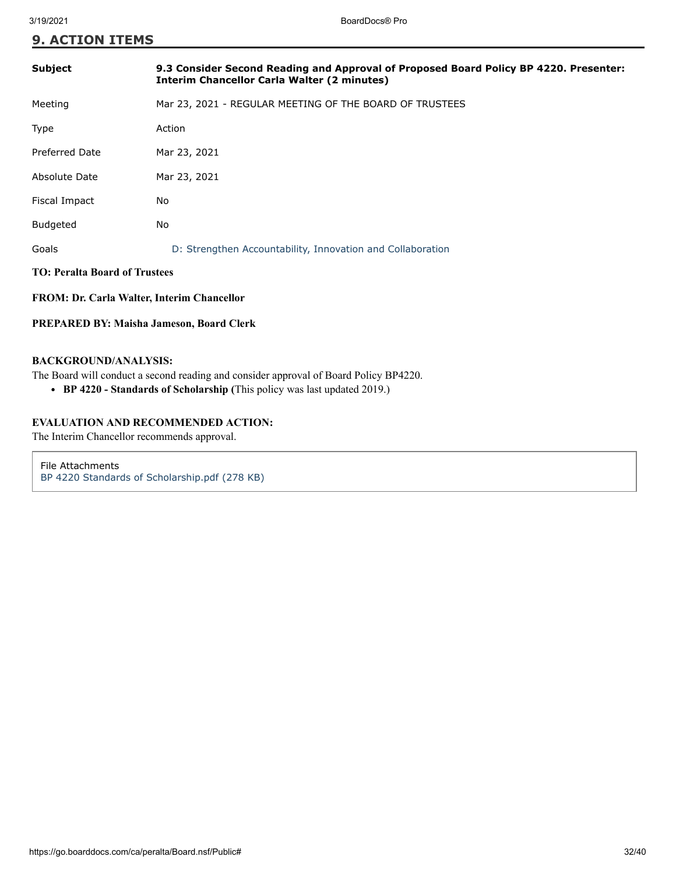| <b>Subject</b>                       | 9.3 Consider Second Reading and Approval of Proposed Board Policy BP 4220. Presenter:<br><b>Interim Chancellor Carla Walter (2 minutes)</b> |  |
|--------------------------------------|---------------------------------------------------------------------------------------------------------------------------------------------|--|
| Meeting                              | Mar 23, 2021 - REGULAR MEETING OF THE BOARD OF TRUSTEES                                                                                     |  |
| Type                                 | Action                                                                                                                                      |  |
| <b>Preferred Date</b>                | Mar 23, 2021                                                                                                                                |  |
| Absolute Date                        | Mar 23, 2021                                                                                                                                |  |
| Fiscal Impact                        | No                                                                                                                                          |  |
| <b>Budgeted</b>                      | No                                                                                                                                          |  |
| Goals                                | D: Strengthen Accountability, Innovation and Collaboration                                                                                  |  |
| <b>TO: Peralta Board of Trustees</b> |                                                                                                                                             |  |
|                                      |                                                                                                                                             |  |

**FROM: Dr. Carla Walter, Interim Chancellor**

#### **PREPARED BY: Maisha Jameson, Board Clerk**

#### **BACKGROUND/ANALYSIS:**

The Board will conduct a second reading and consider approval of Board Policy BP4220.

**BP 4220 - Standards of Scholarship (**This policy was last updated 2019.)

#### **EVALUATION AND RECOMMENDED ACTION:**

The Interim Chancellor recommends approval.

File Attachments [BP 4220 Standards of Scholarship.pdf \(278 KB\)](https://go.boarddocs.com/ca/peralta/Board.nsf/files/BZ33RA081332/$file/BP%204220%20Standards%20of%20Scholarship.pdf)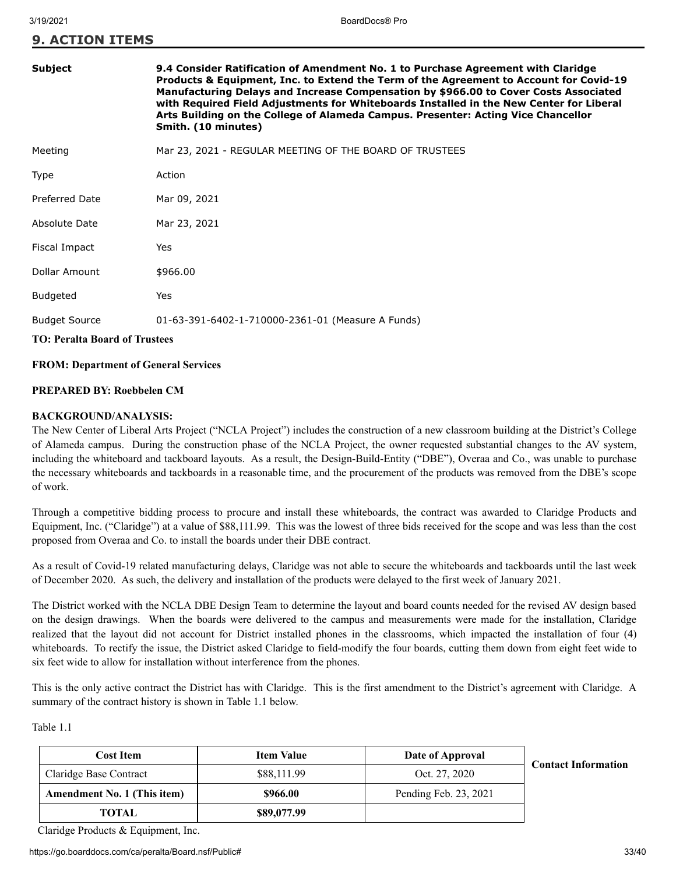| Subject                              | 9.4 Consider Ratification of Amendment No. 1 to Purchase Agreement with Claridge<br>Products & Equipment, Inc. to Extend the Term of the Agreement to Account for Covid-19<br>Manufacturing Delays and Increase Compensation by \$966.00 to Cover Costs Associated<br>with Required Field Adjustments for Whiteboards Installed in the New Center for Liberal<br>Arts Building on the College of Alameda Campus. Presenter: Acting Vice Chancellor<br>Smith. (10 minutes) |  |
|--------------------------------------|---------------------------------------------------------------------------------------------------------------------------------------------------------------------------------------------------------------------------------------------------------------------------------------------------------------------------------------------------------------------------------------------------------------------------------------------------------------------------|--|
| Meeting                              | Mar 23, 2021 - REGULAR MEETING OF THE BOARD OF TRUSTEES                                                                                                                                                                                                                                                                                                                                                                                                                   |  |
| Type                                 | Action                                                                                                                                                                                                                                                                                                                                                                                                                                                                    |  |
| <b>Preferred Date</b>                | Mar 09, 2021                                                                                                                                                                                                                                                                                                                                                                                                                                                              |  |
| Absolute Date                        | Mar 23, 2021                                                                                                                                                                                                                                                                                                                                                                                                                                                              |  |
| Fiscal Impact                        | Yes                                                                                                                                                                                                                                                                                                                                                                                                                                                                       |  |
| Dollar Amount                        | \$966.00                                                                                                                                                                                                                                                                                                                                                                                                                                                                  |  |
| <b>Budgeted</b>                      | Yes                                                                                                                                                                                                                                                                                                                                                                                                                                                                       |  |
| <b>Budget Source</b>                 | 01-63-391-6402-1-710000-2361-01 (Measure A Funds)                                                                                                                                                                                                                                                                                                                                                                                                                         |  |
| <b>TO: Peralta Board of Trustees</b> |                                                                                                                                                                                                                                                                                                                                                                                                                                                                           |  |

#### **FROM: Department of General Services**

#### **PREPARED BY: Roebbelen CM**

#### **BACKGROUND/ANALYSIS:**

The New Center of Liberal Arts Project ("NCLA Project") includes the construction of a new classroom building at the District's College of Alameda campus. During the construction phase of the NCLA Project, the owner requested substantial changes to the AV system, including the whiteboard and tackboard layouts. As a result, the Design-Build-Entity ("DBE"), Overaa and Co., was unable to purchase the necessary whiteboards and tackboards in a reasonable time, and the procurement of the products was removed from the DBE's scope of work.

Through a competitive bidding process to procure and install these whiteboards, the contract was awarded to Claridge Products and Equipment, Inc. ("Claridge") at a value of \$88,111.99. This was the lowest of three bids received for the scope and was less than the cost proposed from Overaa and Co. to install the boards under their DBE contract.

As a result of Covid-19 related manufacturing delays, Claridge was not able to secure the whiteboards and tackboards until the last week of December 2020. As such, the delivery and installation of the products were delayed to the first week of January 2021.

The District worked with the NCLA DBE Design Team to determine the layout and board counts needed for the revised AV design based on the design drawings. When the boards were delivered to the campus and measurements were made for the installation, Claridge realized that the layout did not account for District installed phones in the classrooms, which impacted the installation of four (4) whiteboards. To rectify the issue, the District asked Claridge to field-modify the four boards, cutting them down from eight feet wide to six feet wide to allow for installation without interference from the phones.

This is the only active contract the District has with Claridge. This is the first amendment to the District's agreement with Claridge. A summary of the contract history is shown in Table 1.1 below.

Table 1.1

| <b>Cost Item</b>                   | <b>Item Value</b> | Date of Approval      | <b>Contact Information</b> |
|------------------------------------|-------------------|-----------------------|----------------------------|
| Claridge Base Contract             | \$88,111.99       | Oct. 27, 2020         |                            |
| <b>Amendment No. 1 (This item)</b> | \$966.00          | Pending Feb. 23, 2021 |                            |
| <b>TOTAL</b>                       | \$89,077.99       |                       |                            |

Claridge Products & Equipment, Inc.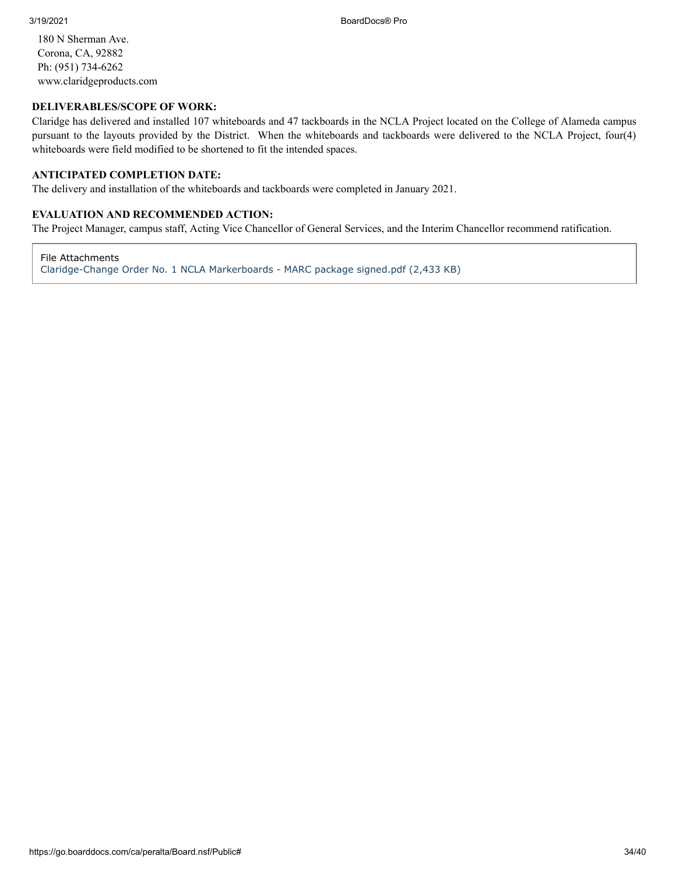180 N Sherman Ave. Corona, CA, 92882 Ph: (951) 734-6262 www.claridgeproducts.com

#### **DELIVERABLES/SCOPE OF WORK:**

Claridge has delivered and installed 107 whiteboards and 47 tackboards in the NCLA Project located on the College of Alameda campus pursuant to the layouts provided by the District. When the whiteboards and tackboards were delivered to the NCLA Project, four(4) whiteboards were field modified to be shortened to fit the intended spaces.

#### **ANTICIPATED COMPLETION DATE:**

The delivery and installation of the whiteboards and tackboards were completed in January 2021.

#### **EVALUATION AND RECOMMENDED ACTION:**

The Project Manager, campus staff, Acting Vice Chancellor of General Services, and the Interim Chancellor recommend ratification.

File Attachments

[Claridge-Change Order No. 1 NCLA Markerboards - MARC package signed.pdf \(2,433 KB\)](https://go.boarddocs.com/ca/peralta/Board.nsf/files/BYKVD2802C7B/$file/Claridge-Change%20Order%20No.%201%20NCLA%20Markerboards%20-%20MARC%20package%20signed.pdf)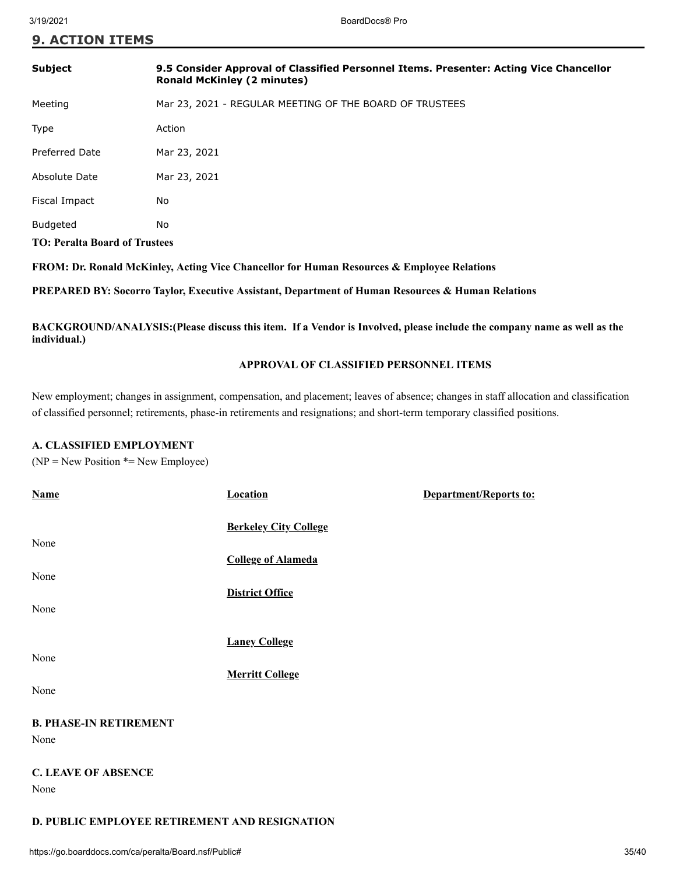|  | <b>9. ACTION ITEMS</b> |  |
|--|------------------------|--|
|  |                        |  |

| Subject                              | 9.5 Consider Approval of Classified Personnel Items. Presenter: Acting Vice Chancellor<br><b>Ronald McKinley (2 minutes)</b> |  |
|--------------------------------------|------------------------------------------------------------------------------------------------------------------------------|--|
| Meeting                              | Mar 23, 2021 - REGULAR MEETING OF THE BOARD OF TRUSTEES                                                                      |  |
| Type                                 | Action                                                                                                                       |  |
| <b>Preferred Date</b>                | Mar 23, 2021                                                                                                                 |  |
| Absolute Date                        | Mar 23, 2021                                                                                                                 |  |
| Fiscal Impact                        | No                                                                                                                           |  |
| <b>Budgeted</b>                      | No                                                                                                                           |  |
| <b>TO: Peralta Board of Trustees</b> |                                                                                                                              |  |

**FROM: Dr. Ronald McKinley, Acting Vice Chancellor for Human Resources & Employee Relations**

**PREPARED BY: Socorro Taylor, Executive Assistant, Department of Human Resources & Human Relations**

**BACKGROUND/ANALYSIS:(Please discuss this item. If a Vendor is Involved, please include the company name as well as the individual.)**

## **APPROVAL OF CLASSIFIED PERSONNEL ITEMS**

New employment; changes in assignment, compensation, and placement; leaves of absence; changes in staff allocation and classification of classified personnel; retirements, phase-in retirements and resignations; and short-term temporary classified positions.

### **A. CLASSIFIED EMPLOYMENT**

 $(NP = New Position * = New Employee)$ 

| <b>Name</b>                           | <b>Location</b>              | Department/Reports to: |
|---------------------------------------|------------------------------|------------------------|
| None                                  | <b>Berkeley City College</b> |                        |
|                                       | <b>College of Alameda</b>    |                        |
| None                                  |                              |                        |
| None                                  | <b>District Office</b>       |                        |
|                                       | <b>Laney College</b>         |                        |
| None                                  | <b>Merritt College</b>       |                        |
| None                                  |                              |                        |
| <b>B. PHASE-IN RETIREMENT</b><br>None |                              |                        |
| <b>C. LEAVE OF ABSENCE</b><br>None    |                              |                        |
|                                       |                              |                        |

## **D. PUBLIC EMPLOYEE RETIREMENT AND RESIGNATION**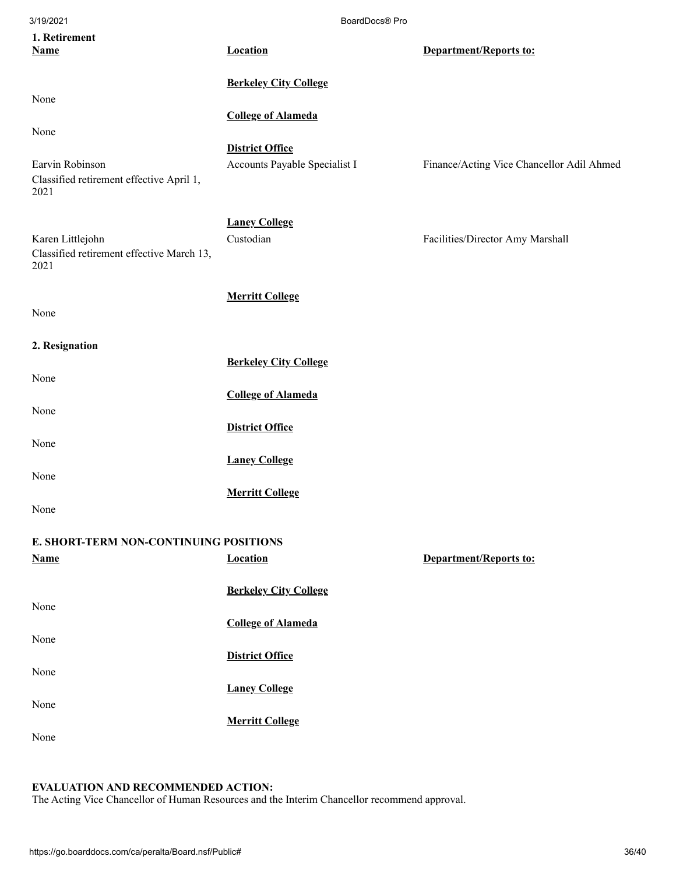| 3/19/2021                                                                   | BoardDocs® Pro                                          |                                           |
|-----------------------------------------------------------------------------|---------------------------------------------------------|-------------------------------------------|
| 1. Retirement<br><b>Name</b>                                                | <b>Location</b>                                         | <b>Department/Reports to:</b>             |
|                                                                             | <b>Berkeley City College</b>                            |                                           |
| None                                                                        | <b>College of Alameda</b>                               |                                           |
| None<br>Earvin Robinson<br>Classified retirement effective April 1,<br>2021 | <b>District Office</b><br>Accounts Payable Specialist I | Finance/Acting Vice Chancellor Adil Ahmed |
| Karen Littlejohn<br>Classified retirement effective March 13,<br>2021       | <b>Laney College</b><br>Custodian                       | Facilities/Director Amy Marshall          |
| None                                                                        | <b>Merritt College</b>                                  |                                           |
| 2. Resignation                                                              |                                                         |                                           |
| None                                                                        | <b>Berkeley City College</b>                            |                                           |
|                                                                             | <b>College of Alameda</b>                               |                                           |
| None                                                                        | <b>District Office</b>                                  |                                           |
| None                                                                        | <b>Laney College</b>                                    |                                           |
| None<br>None                                                                | <b>Merritt College</b>                                  |                                           |
| E. SHORT-TERM NON-CONTINUING POSITIONS                                      |                                                         |                                           |
| <b>Name</b>                                                                 | <b>Location</b>                                         | <b>Department/Reports to:</b>             |
| None                                                                        | <b>Berkeley City College</b>                            |                                           |
|                                                                             | <b>College of Alameda</b>                               |                                           |
| None                                                                        | <b>District Office</b>                                  |                                           |
| None                                                                        | <b>Laney College</b>                                    |                                           |
| None                                                                        | <b>Merritt College</b>                                  |                                           |
| None                                                                        |                                                         |                                           |

## **EVALUATION AND RECOMMENDED ACTION:**

The Acting Vice Chancellor of Human Resources and the Interim Chancellor recommend approval.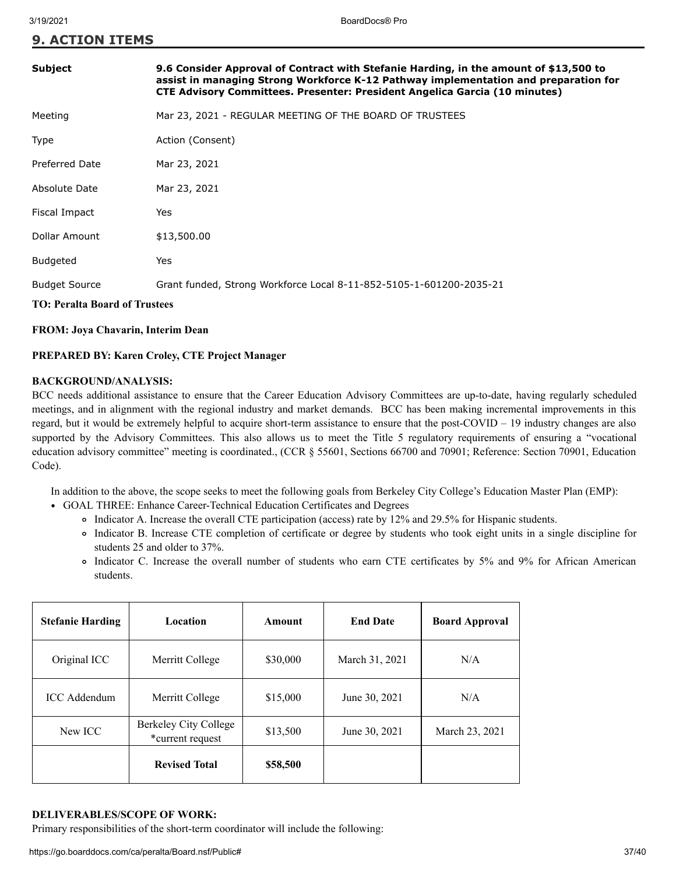| <b>Subject</b>                       |                                                                                                                                                                                                                                                                   |  |
|--------------------------------------|-------------------------------------------------------------------------------------------------------------------------------------------------------------------------------------------------------------------------------------------------------------------|--|
|                                      | 9.6 Consider Approval of Contract with Stefanie Harding, in the amount of \$13,500 to<br>assist in managing Strong Workforce K-12 Pathway implementation and preparation for<br><b>CTE Advisory Committees. Presenter: President Angelica Garcia (10 minutes)</b> |  |
| Meeting                              | Mar 23, 2021 - REGULAR MEETING OF THE BOARD OF TRUSTEES                                                                                                                                                                                                           |  |
| Type                                 | Action (Consent)                                                                                                                                                                                                                                                  |  |
| <b>Preferred Date</b>                | Mar 23, 2021                                                                                                                                                                                                                                                      |  |
| Absolute Date                        | Mar 23, 2021                                                                                                                                                                                                                                                      |  |
| Fiscal Impact                        | Yes                                                                                                                                                                                                                                                               |  |
| Dollar Amount                        | \$13,500.00                                                                                                                                                                                                                                                       |  |
| Budgeted                             | Yes                                                                                                                                                                                                                                                               |  |
| <b>Budget Source</b>                 | Grant funded, Strong Workforce Local 8-11-852-5105-1-601200-2035-21                                                                                                                                                                                               |  |
| <b>TO: Peralta Board of Trustees</b> |                                                                                                                                                                                                                                                                   |  |

#### **FROM: Joya Chavarin, Interim Dean**

#### **PREPARED BY: Karen Croley, CTE Project Manager**

#### **BACKGROUND/ANALYSIS:**

BCC needs additional assistance to ensure that the Career Education Advisory Committees are up-to-date, having regularly scheduled meetings, and in alignment with the regional industry and market demands. BCC has been making incremental improvements in this regard, but it would be extremely helpful to acquire short-term assistance to ensure that the post-COVID – 19 industry changes are also supported by the Advisory Committees. This also allows us to meet the Title 5 regulatory requirements of ensuring a "vocational education advisory committee" meeting is coordinated., (CCR § 55601, Sections 66700 and 70901; Reference: Section 70901, Education Code).

In addition to the above, the scope seeks to meet the following goals from Berkeley City College's Education Master Plan (EMP):

- GOAL THREE: Enhance Career-Technical Education Certificates and Degrees
	- Indicator A. Increase the overall CTE participation (access) rate by 12% and 29.5% for Hispanic students.
	- Indicator B. Increase CTE completion of certificate or degree by students who took eight units in a single discipline for students 25 and older to 37%.
	- Indicator C. Increase the overall number of students who earn CTE certificates by 5% and 9% for African American students.

| <b>Stefanie Harding</b> | Location                                  | Amount   | <b>End Date</b> | <b>Board Approval</b> |
|-------------------------|-------------------------------------------|----------|-----------------|-----------------------|
| Original ICC            | Merritt College                           | \$30,000 | March 31, 2021  | N/A                   |
| <b>ICC</b> Addendum     | Merritt College                           | \$15,000 | June 30, 2021   | N/A                   |
| New ICC                 | Berkeley City College<br>*current request | \$13,500 | June 30, 2021   | March 23, 2021        |
|                         | <b>Revised Total</b>                      | \$58,500 |                 |                       |

#### **DELIVERABLES/SCOPE OF WORK:**

Primary responsibilities of the short-term coordinator will include the following: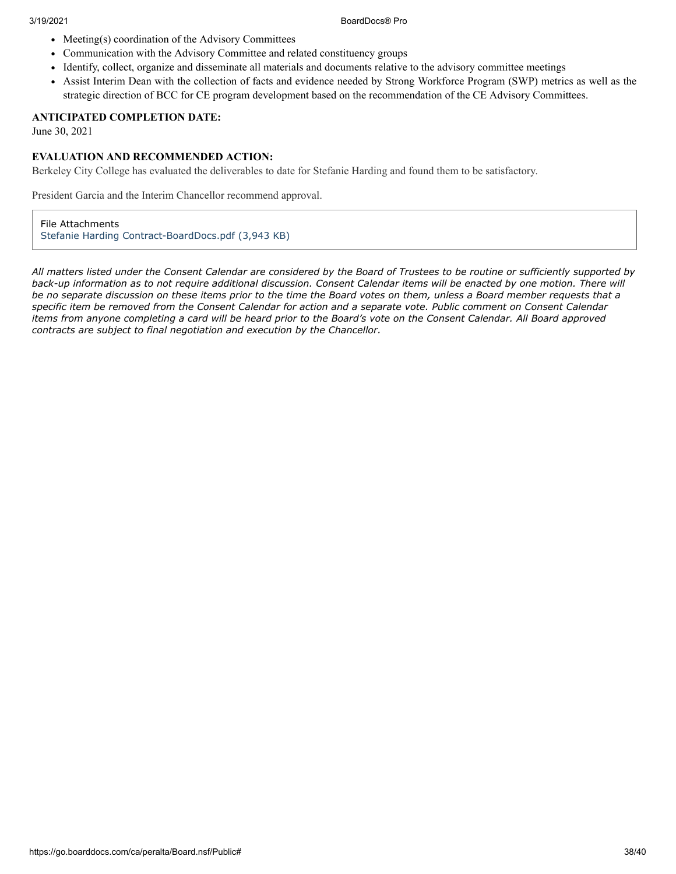- $\bullet$  Meeting(s) coordination of the Advisory Committees
- Communication with the Advisory Committee and related constituency groups
- Identify, collect, organize and disseminate all materials and documents relative to the advisory committee meetings
- Assist Interim Dean with the collection of facts and evidence needed by Strong Workforce Program (SWP) metrics as well as the strategic direction of BCC for CE program development based on the recommendation of the CE Advisory Committees.

### **ANTICIPATED COMPLETION DATE:**

June 30, 2021

#### **EVALUATION AND RECOMMENDED ACTION:**

Berkeley City College has evaluated the deliverables to date for Stefanie Harding and found them to be satisfactory.

President Garcia and the Interim Chancellor recommend approval.

File Attachments [Stefanie Harding Contract-BoardDocs.pdf \(3,943 KB\)](https://go.boarddocs.com/ca/peralta/Board.nsf/files/BZ9NHP5F9B94/$file/Stefanie%20Harding%20Contract-BoardDocs.pdf)

*All matters listed under the Consent Calendar are considered by the Board of Trustees to be routine or sufficiently supported by back-up information as to not require additional discussion. Consent Calendar items will be enacted by one motion. There will be no separate discussion on these items prior to the time the Board votes on them, unless a Board member requests that a specific item be removed from the Consent Calendar for action and a separate vote. Public comment on Consent Calendar items from anyone completing a card will be heard prior to the Board's vote on the Consent Calendar. All Board approved contracts are subject to final negotiation and execution by the Chancellor.*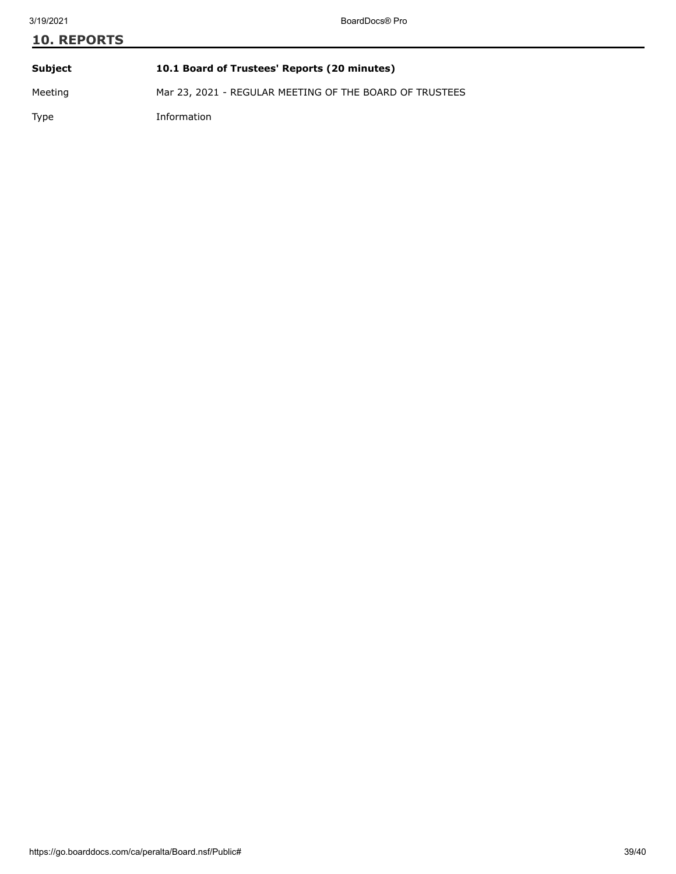# **10. REPORTS Subject 10.1 Board of Trustees' Reports (20 minutes)** Meeting Mar 23, 2021 - REGULAR MEETING OF THE BOARD OF TRUSTEES

Type Information